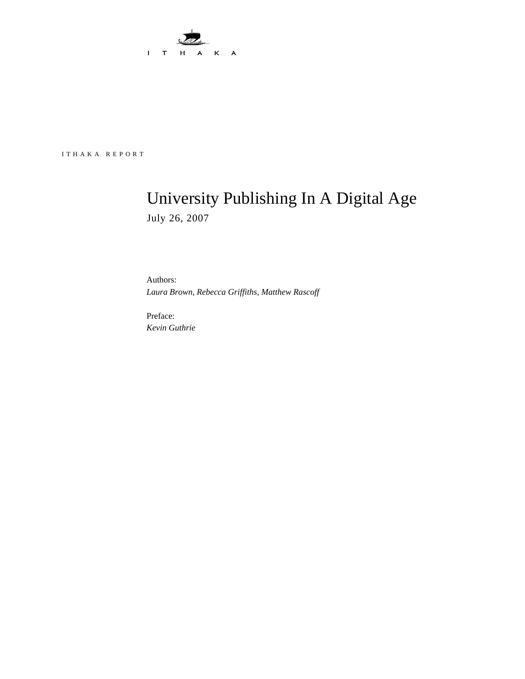

ITHAKA REPORT

# University Publishing In A Digital Age July 26, 2007

Authors: *Laura Brown, Rebecca Griffiths, Matthew Rascoff* 

Preface: *Kevin Guthrie*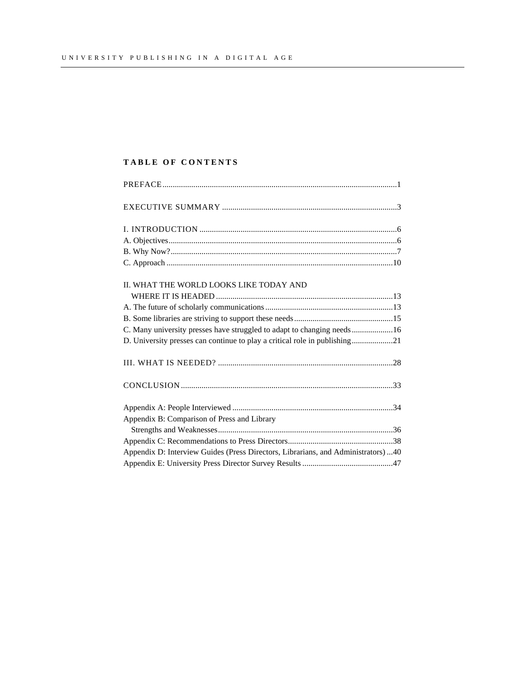# **TABLE OF CONTENTS**

| II. WHAT THE WORLD LOOKS LIKE TODAY AND                                            |  |
|------------------------------------------------------------------------------------|--|
|                                                                                    |  |
|                                                                                    |  |
|                                                                                    |  |
| C. Many university presses have struggled to adapt to changing needs16             |  |
| D. University presses can continue to play a critical role in publishing21         |  |
|                                                                                    |  |
|                                                                                    |  |
|                                                                                    |  |
| Appendix B: Comparison of Press and Library                                        |  |
|                                                                                    |  |
|                                                                                    |  |
| Appendix D: Interview Guides (Press Directors, Librarians, and Administrators)  40 |  |
|                                                                                    |  |
|                                                                                    |  |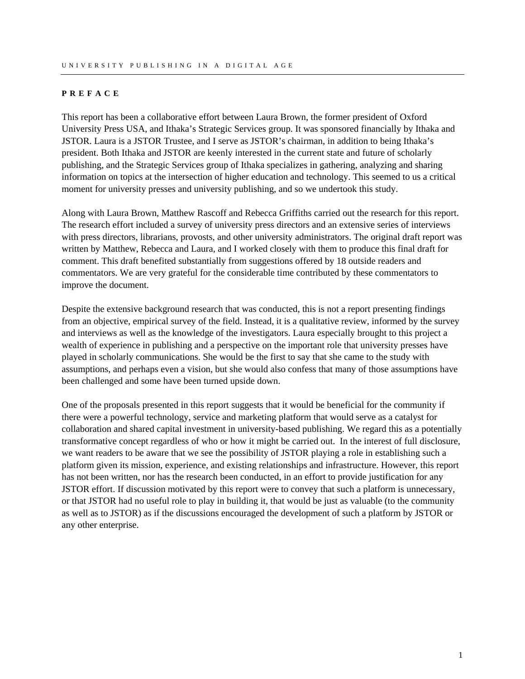#### <span id="page-2-0"></span>**PREFACE**

This report has been a collaborative effort between Laura Brown, the former president of Oxford University Press USA, and Ithaka's Strategic Services group. It was sponsored financially by Ithaka and JSTOR. Laura is a JSTOR Trustee, and I serve as JSTOR's chairman, in addition to being Ithaka's president. Both Ithaka and JSTOR are keenly interested in the current state and future of scholarly publishing, and the Strategic Services group of Ithaka specializes in gathering, analyzing and sharing information on topics at the intersection of higher education and technology. This seemed to us a critical moment for university presses and university publishing, and so we undertook this study.

Along with Laura Brown, Matthew Rascoff and Rebecca Griffiths carried out the research for this report. The research effort included a survey of university press directors and an extensive series of interviews with press directors, librarians, provosts, and other university administrators. The original draft report was written by Matthew, Rebecca and Laura, and I worked closely with them to produce this final draft for comment. This draft benefited substantially from suggestions offered by 18 outside readers and commentators. We are very grateful for the considerable time contributed by these commentators to improve the document.

Despite the extensive background research that was conducted, this is not a report presenting findings from an objective, empirical survey of the field. Instead, it is a qualitative review, informed by the survey and interviews as well as the knowledge of the investigators. Laura especially brought to this project a wealth of experience in publishing and a perspective on the important role that university presses have played in scholarly communications. She would be the first to say that she came to the study with assumptions, and perhaps even a vision, but she would also confess that many of those assumptions have been challenged and some have been turned upside down.

One of the proposals presented in this report suggests that it would be beneficial for the community if there were a powerful technology, service and marketing platform that would serve as a catalyst for collaboration and shared capital investment in university-based publishing. We regard this as a potentially transformative concept regardless of who or how it might be carried out. In the interest of full disclosure, we want readers to be aware that we see the possibility of JSTOR playing a role in establishing such a platform given its mission, experience, and existing relationships and infrastructure. However, this report has not been written, nor has the research been conducted, in an effort to provide justification for any JSTOR effort. If discussion motivated by this report were to convey that such a platform is unnecessary, or that JSTOR had no useful role to play in building it, that would be just as valuable (to the community as well as to JSTOR) as if the discussions encouraged the development of such a platform by JSTOR or any other enterprise.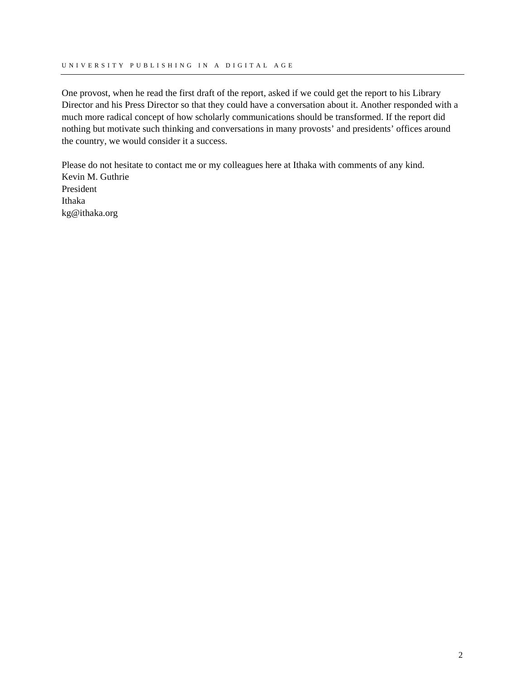One provost, when he read the first draft of the report, asked if we could get the report to his Library Director and his Press Director so that they could have a conversation about it. Another responded with a much more radical concept of how scholarly communications should be transformed. If the report did nothing but motivate such thinking and conversations in many provosts' and presidents' offices around the country, we would consider it a success.

Please do not hesitate to contact me or my colleagues here at Ithaka with comments of any kind. Kevin M. Guthrie President Ithaka kg@ithaka.org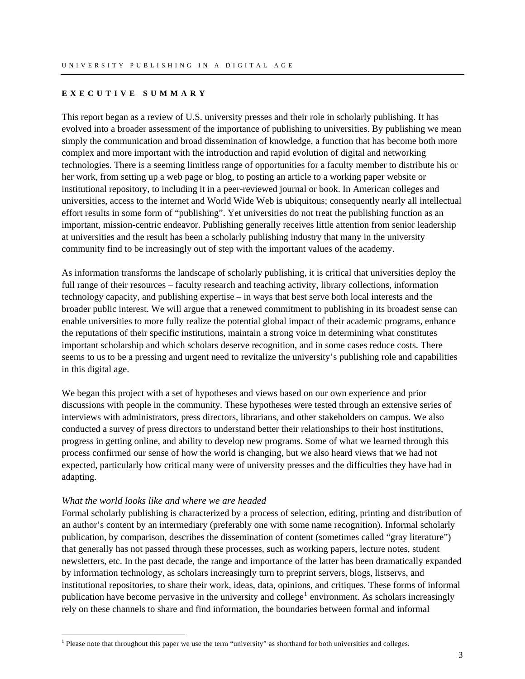#### <span id="page-4-0"></span>**EXECUTIVE SUMMARY**

This report began as a review of U.S. university presses and their role in scholarly publishing. It has evolved into a broader assessment of the importance of publishing to universities. By publishing we mean simply the communication and broad dissemination of knowledge, a function that has become both more complex and more important with the introduction and rapid evolution of digital and networking technologies. There is a seeming limitless range of opportunities for a faculty member to distribute his or her work, from setting up a web page or blog, to posting an article to a working paper website or institutional repository, to including it in a peer-reviewed journal or book. In American colleges and universities, access to the internet and World Wide Web is ubiquitous; consequently nearly all intellectual effort results in some form of "publishing". Yet universities do not treat the publishing function as an important, mission-centric endeavor. Publishing generally receives little attention from senior leadership at universities and the result has been a scholarly publishing industry that many in the university community find to be increasingly out of step with the important values of the academy.

As information transforms the landscape of scholarly publishing, it is critical that universities deploy the full range of their resources – faculty research and teaching activity, library collections, information technology capacity, and publishing expertise – in ways that best serve both local interests and the broader public interest. We will argue that a renewed commitment to publishing in its broadest sense can enable universities to more fully realize the potential global impact of their academic programs, enhance the reputations of their specific institutions, maintain a strong voice in determining what constitutes important scholarship and which scholars deserve recognition, and in some cases reduce costs. There seems to us to be a pressing and urgent need to revitalize the university's publishing role and capabilities in this digital age.

We began this project with a set of hypotheses and views based on our own experience and prior discussions with people in the community. These hypotheses were tested through an extensive series of interviews with administrators, press directors, librarians, and other stakeholders on campus. We also conducted a survey of press directors to understand better their relationships to their host institutions, progress in getting online, and ability to develop new programs. Some of what we learned through this process confirmed our sense of how the world is changing, but we also heard views that we had not expected, particularly how critical many were of university presses and the difficulties they have had in adapting.

#### *What the world looks like and where we are headed*

 $\overline{a}$ 

Formal scholarly publishing is characterized by a process of selection, editing, printing and distribution of an author's content by an intermediary (preferably one with some name recognition). Informal scholarly publication, by comparison, describes the dissemination of content (sometimes called "gray literature") that generally has not passed through these processes, such as working papers, lecture notes, student newsletters, etc. In the past decade, the range and importance of the latter has been dramatically expanded by information technology, as scholars increasingly turn to preprint servers, blogs, listservs, and institutional repositories, to share their work, ideas, data, opinions, and critiques. These forms of informal publication have become pervasive in the university and college<sup>[1](#page-4-1)</sup> environment. As scholars increasingly rely on these channels to share and find information, the boundaries between formal and informal

<span id="page-4-1"></span><sup>&</sup>lt;sup>1</sup> Please note that throughout this paper we use the term "university" as shorthand for both universities and colleges.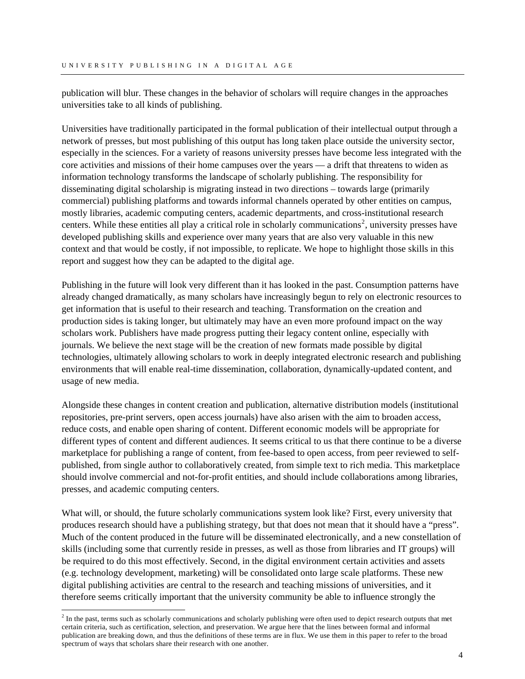publication will blur. These changes in the behavior of scholars will require changes in the approaches universities take to all kinds of publishing.

Universities have traditionally participated in the formal publication of their intellectual output through a network of presses, but most publishing of this output has long taken place outside the university sector, especially in the sciences. For a variety of reasons university presses have become less integrated with the core activities and missions of their home campuses over the years — a drift that threatens to widen as information technology transforms the landscape of scholarly publishing. The responsibility for disseminating digital scholarship is migrating instead in two directions – towards large (primarily commercial) publishing platforms and towards informal channels operated by other entities on campus, mostly libraries, academic computing centers, academic departments, and cross-institutional research centers. While these entities all play a critical role in scholarly communications<sup>[2](#page-5-0)</sup>, university presses have developed publishing skills and experience over many years that are also very valuable in this new context and that would be costly, if not impossible, to replicate. We hope to highlight those skills in this report and suggest how they can be adapted to the digital age.

Publishing in the future will look very different than it has looked in the past. Consumption patterns have already changed dramatically, as many scholars have increasingly begun to rely on electronic resources to get information that is useful to their research and teaching. Transformation on the creation and production sides is taking longer, but ultimately may have an even more profound impact on the way scholars work. Publishers have made progress putting their legacy content online, especially with journals. We believe the next stage will be the creation of new formats made possible by digital technologies, ultimately allowing scholars to work in deeply integrated electronic research and publishing environments that will enable real-time dissemination, collaboration, dynamically-updated content, and usage of new media.

Alongside these changes in content creation and publication, alternative distribution models (institutional repositories, pre-print servers, open access journals) have also arisen with the aim to broaden access, reduce costs, and enable open sharing of content. Different economic models will be appropriate for different types of content and different audiences. It seems critical to us that there continue to be a diverse marketplace for publishing a range of content, from fee-based to open access, from peer reviewed to selfpublished, from single author to collaboratively created, from simple text to rich media. This marketplace should involve commercial and not-for-profit entities, and should include collaborations among libraries, presses, and academic computing centers.

What will, or should, the future scholarly communications system look like? First, every university that produces research should have a publishing strategy, but that does not mean that it should have a "press". Much of the content produced in the future will be disseminated electronically, and a new constellation of skills (including some that currently reside in presses, as well as those from libraries and IT groups) will be required to do this most effectively. Second, in the digital environment certain activities and assets (e.g. technology development, marketing) will be consolidated onto large scale platforms. These new digital publishing activities are central to the research and teaching missions of universities, and it therefore seems critically important that the university community be able to influence strongly the

 $\overline{a}$ 

<span id="page-5-0"></span><sup>&</sup>lt;sup>2</sup> In the past, terms such as scholarly communications and scholarly publishing were often used to depict research outputs that met certain criteria, such as certification, selection, and preservation. We argue here that the lines between formal and informal publication are breaking down, and thus the definitions of these terms are in flux. We use them in this paper to refer to the broad spectrum of ways that scholars share their research with one another.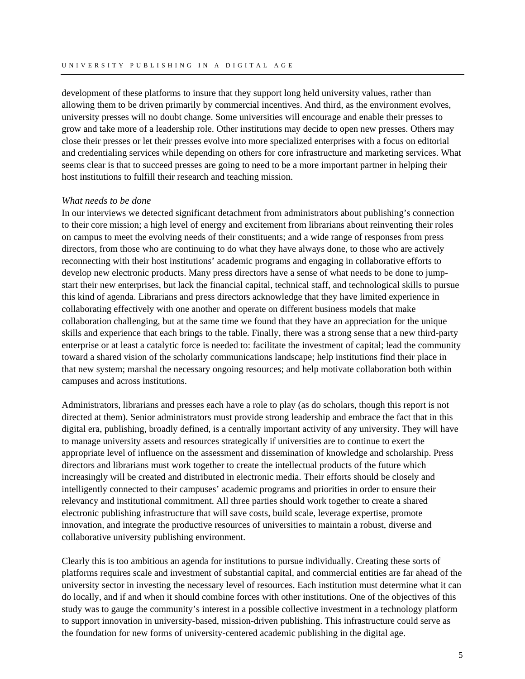development of these platforms to insure that they support long held university values, rather than allowing them to be driven primarily by commercial incentives. And third, as the environment evolves, university presses will no doubt change. Some universities will encourage and enable their presses to grow and take more of a leadership role. Other institutions may decide to open new presses. Others may close their presses or let their presses evolve into more specialized enterprises with a focus on editorial and credentialing services while depending on others for core infrastructure and marketing services. What seems clear is that to succeed presses are going to need to be a more important partner in helping their host institutions to fulfill their research and teaching mission.

#### *What needs to be done*

In our interviews we detected significant detachment from administrators about publishing's connection to their core mission; a high level of energy and excitement from librarians about reinventing their roles on campus to meet the evolving needs of their constituents; and a wide range of responses from press directors, from those who are continuing to do what they have always done, to those who are actively reconnecting with their host institutions' academic programs and engaging in collaborative efforts to develop new electronic products. Many press directors have a sense of what needs to be done to jumpstart their new enterprises, but lack the financial capital, technical staff, and technological skills to pursue this kind of agenda. Librarians and press directors acknowledge that they have limited experience in collaborating effectively with one another and operate on different business models that make collaboration challenging, but at the same time we found that they have an appreciation for the unique skills and experience that each brings to the table. Finally, there was a strong sense that a new third-party enterprise or at least a catalytic force is needed to: facilitate the investment of capital; lead the community toward a shared vision of the scholarly communications landscape; help institutions find their place in that new system; marshal the necessary ongoing resources; and help motivate collaboration both within campuses and across institutions.

Administrators, librarians and presses each have a role to play (as do scholars, though this report is not directed at them). Senior administrators must provide strong leadership and embrace the fact that in this digital era, publishing, broadly defined, is a centrally important activity of any university. They will have to manage university assets and resources strategically if universities are to continue to exert the appropriate level of influence on the assessment and dissemination of knowledge and scholarship. Press directors and librarians must work together to create the intellectual products of the future which increasingly will be created and distributed in electronic media. Their efforts should be closely and intelligently connected to their campuses' academic programs and priorities in order to ensure their relevancy and institutional commitment. All three parties should work together to create a shared electronic publishing infrastructure that will save costs, build scale, leverage expertise, promote innovation, and integrate the productive resources of universities to maintain a robust, diverse and collaborative university publishing environment.

Clearly this is too ambitious an agenda for institutions to pursue individually. Creating these sorts of platforms requires scale and investment of substantial capital, and commercial entities are far ahead of the university sector in investing the necessary level of resources. Each institution must determine what it can do locally, and if and when it should combine forces with other institutions. One of the objectives of this study was to gauge the community's interest in a possible collective investment in a technology platform to support innovation in university-based, mission-driven publishing. This infrastructure could serve as the foundation for new forms of university-centered academic publishing in the digital age.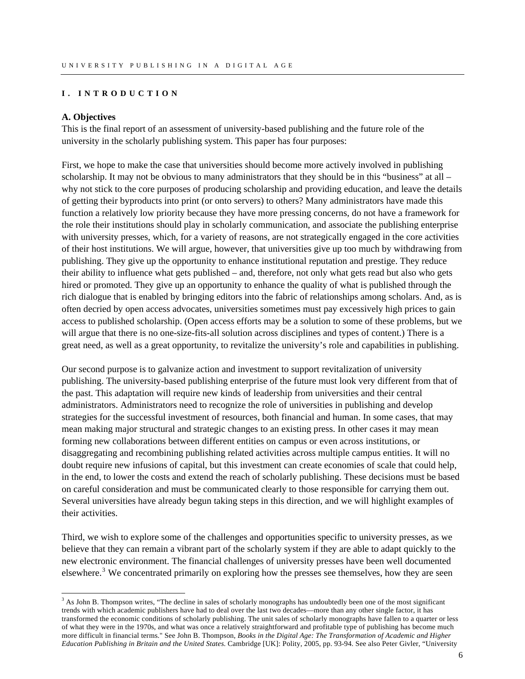#### <span id="page-7-0"></span>**I. INTRODUCTION**

#### **A. Objectives**

 $\overline{a}$ 

This is the final report of an assessment of university-based publishing and the future role of the university in the scholarly publishing system. This paper has four purposes:

First, we hope to make the case that universities should become more actively involved in publishing scholarship. It may not be obvious to many administrators that they should be in this "business" at all – why not stick to the core purposes of producing scholarship and providing education, and leave the details of getting their byproducts into print (or onto servers) to others? Many administrators have made this function a relatively low priority because they have more pressing concerns, do not have a framework for the role their institutions should play in scholarly communication, and associate the publishing enterprise with university presses, which, for a variety of reasons, are not strategically engaged in the core activities of their host institutions. We will argue, however, that universities give up too much by withdrawing from publishing. They give up the opportunity to enhance institutional reputation and prestige. They reduce their ability to influence what gets published – and, therefore, not only what gets read but also who gets hired or promoted. They give up an opportunity to enhance the quality of what is published through the rich dialogue that is enabled by bringing editors into the fabric of relationships among scholars. And, as is often decried by open access advocates, universities sometimes must pay excessively high prices to gain access to published scholarship. (Open access efforts may be a solution to some of these problems, but we will argue that there is no one-size-fits-all solution across disciplines and types of content.) There is a great need, as well as a great opportunity, to revitalize the university's role and capabilities in publishing.

Our second purpose is to galvanize action and investment to support revitalization of university publishing. The university-based publishing enterprise of the future must look very different from that of the past. This adaptation will require new kinds of leadership from universities and their central administrators. Administrators need to recognize the role of universities in publishing and develop strategies for the successful investment of resources, both financial and human. In some cases, that may mean making major structural and strategic changes to an existing press. In other cases it may mean forming new collaborations between different entities on campus or even across institutions, or disaggregating and recombining publishing related activities across multiple campus entities. It will no doubt require new infusions of capital, but this investment can create economies of scale that could help, in the end, to lower the costs and extend the reach of scholarly publishing. These decisions must be based on careful consideration and must be communicated clearly to those responsible for carrying them out. Several universities have already begun taking steps in this direction, and we will highlight examples of their activities.

Third, we wish to explore some of the challenges and opportunities specific to university presses, as we believe that they can remain a vibrant part of the scholarly system if they are able to adapt quickly to the new electronic environment. The financial challenges of university presses have been well documented elsewhere.<sup>[3](#page-7-1)</sup> We concentrated primarily on exploring how the presses see themselves, how they are seen

<span id="page-7-1"></span><sup>&</sup>lt;sup>3</sup> As John B. Thompson writes, "The decline in sales of scholarly monographs has undoubtedly been one of the most significant trends with which academic publishers have had to deal over the last two decades—more than any other single factor, it has transformed the economic conditions of scholarly publishing. The unit sales of scholarly monographs have fallen to a quarter or less of what they were in the 1970s, and what was once a relatively straightforward and profitable type of publishing has become much more difficult in financial terms." See John B. Thompson, *Books in the Digital Age: The Transformation of Academic and Higher Education Publishing in Britain and the United States*. Cambridge [UK]: Polity, 2005, pp. 93-94. See also Peter Givler, "University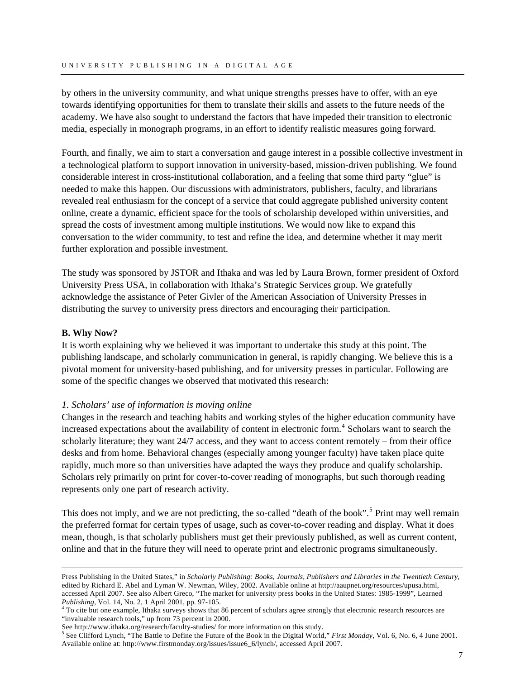<span id="page-8-0"></span>by others in the university community, and what unique strengths presses have to offer, with an eye towards identifying opportunities for them to translate their skills and assets to the future needs of the academy. We have also sought to understand the factors that have impeded their transition to electronic media, especially in monograph programs, in an effort to identify realistic measures going forward.

Fourth, and finally, we aim to start a conversation and gauge interest in a possible collective investment in a technological platform to support innovation in university-based, mission-driven publishing. We found considerable interest in cross-institutional collaboration, and a feeling that some third party "glue" is needed to make this happen. Our discussions with administrators, publishers, faculty, and librarians revealed real enthusiasm for the concept of a service that could aggregate published university content online, create a dynamic, efficient space for the tools of scholarship developed within universities, and spread the costs of investment among multiple institutions. We would now like to expand this conversation to the wider community, to test and refine the idea, and determine whether it may merit further exploration and possible investment.

The study was sponsored by JSTOR and Ithaka and was led by Laura Brown, former president of Oxford University Press USA, in collaboration with Ithaka's Strategic Services group. We gratefully acknowledge the assistance of Peter Givler of the American Association of University Presses in distributing the survey to university press directors and encouraging their participation.

# **B. Why Now?**

 $\overline{a}$ 

It is worth explaining why we believed it was important to undertake this study at this point. The publishing landscape, and scholarly communication in general, is rapidly changing. We believe this is a pivotal moment for university-based publishing, and for university presses in particular. Following are some of the specific changes we observed that motivated this research:

# *1. Scholars' use of information is moving online*

Changes in the research and teaching habits and working styles of the higher education community have increased expectations about the availability of content in electronic form.<sup>[4](#page-8-1)</sup> Scholars want to search the scholarly literature; they want 24/7 access, and they want to access content remotely – from their office desks and from home. Behavioral changes (especially among younger faculty) have taken place quite rapidly, much more so than universities have adapted the ways they produce and qualify scholarship. Scholars rely primarily on print for cover-to-cover reading of monographs, but such thorough reading represents only one part of research activity.

This does not imply, and we are not predicting, the so-called "death of the book".<sup>[5](#page-8-2)</sup> Print may well remain the preferred format for certain types of usage, such as cover-to-cover reading and display. What it does mean, though, is that scholarly publishers must get their previously published, as well as current content, online and that in the future they will need to operate print and electronic programs simultaneously.

Press Publishing in the United States," in *Scholarly Publishing: Books, Journals, Publishers and Libraries in the Twentieth Century*, edited by Richard E. Abel and Lyman W. Newman, Wiley, 2002. Available online at http://aaupnet.org/resources/upusa.html, accessed April 2007. See also Albert Greco, "The market for university press books in the United States: 1985-1999", Learned *Publishing*, Vol. 14, No. 2, 1 April 2001, pp. 97-105. 4

<span id="page-8-1"></span><sup>&</sup>lt;sup>4</sup> To cite but one example, Ithaka surveys shows that 86 percent of scholars agree strongly that electronic research resources are "invaluable research tools," up from 73 percent in 2000.

See http://www.ithaka.org/research/faculty-studies/ for more information on this study.

<span id="page-8-2"></span>See Clifford Lynch, "The Battle to Define the Future of the Book in the Digital World," *First Monday*, Vol. 6, No. 6, 4 June 2001. Available online at: http://www.firstmonday.org/issues/issue6\_6/lynch/, accessed April 2007.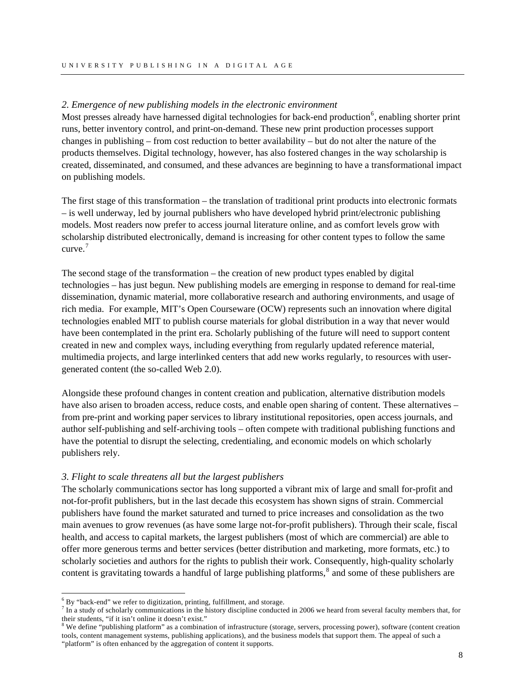# *2. Emergence of new publishing models in the electronic environment*

Most presses already have harnessed digital technologies for back-end production<sup>[6](#page-9-0)</sup>, enabling shorter print runs, better inventory control, and print-on-demand. These new print production processes support changes in publishing – from cost reduction to better availability – but do not alter the nature of the products themselves. Digital technology, however, has also fostered changes in the way scholarship is created, disseminated, and consumed, and these advances are beginning to have a transformational impact on publishing models.

The first stage of this transformation – the translation of traditional print products into electronic formats – is well underway, led by journal publishers who have developed hybrid print/electronic publishing models. Most readers now prefer to access journal literature online, and as comfort levels grow with scholarship distributed electronically, demand is increasing for other content types to follow the same curve.[7](#page-9-1)

The second stage of the transformation – the creation of new product types enabled by digital technologies – has just begun. New publishing models are emerging in response to demand for real-time dissemination, dynamic material, more collaborative research and authoring environments, and usage of rich media. For example, MIT's Open Courseware (OCW) represents such an innovation where digital technologies enabled MIT to publish course materials for global distribution in a way that never would have been contemplated in the print era. Scholarly publishing of the future will need to support content created in new and complex ways, including everything from regularly updated reference material, multimedia projects, and large interlinked centers that add new works regularly, to resources with usergenerated content (the so-called Web 2.0).

Alongside these profound changes in content creation and publication, alternative distribution models have also arisen to broaden access, reduce costs, and enable open sharing of content. These alternatives – from pre-print and working paper services to library institutional repositories, open access journals, and author self-publishing and self-archiving tools – often compete with traditional publishing functions and have the potential to disrupt the selecting, credentialing, and economic models on which scholarly publishers rely.

#### *3. Flight to scale threatens all but the largest publishers*

The scholarly communications sector has long supported a vibrant mix of large and small for-profit and not-for-profit publishers, but in the last decade this ecosystem has shown signs of strain. Commercial publishers have found the market saturated and turned to price increases and consolidation as the two main avenues to grow revenues (as have some large not-for-profit publishers). Through their scale, fiscal health, and access to capital markets, the largest publishers (most of which are commercial) are able to offer more generous terms and better services (better distribution and marketing, more formats, etc.) to scholarly societies and authors for the rights to publish their work. Consequently, high-quality scholarly content is gravitating towards a handful of large publishing platforms, $\delta$  and some of these publishers are

 $\overline{a}$ 

 $^{6}$  By "back-end" we refer to digitization, printing, fulfillment, and storage.

<span id="page-9-1"></span><span id="page-9-0"></span> $\frac{7}{1}$  In a study of scholarly communications in the history discipline conducted in 2006 we heard from several faculty members that, for their students, "if it isn't online it doesn't exist."

<span id="page-9-2"></span><sup>&</sup>lt;sup>8</sup> We define "publishing platform" as a combination of infrastructure (storage, servers, processing power), software (content creation tools, content management systems, publishing applications), and the business models that support them. The appeal of such a "platform" is often enhanced by the aggregation of content it supports.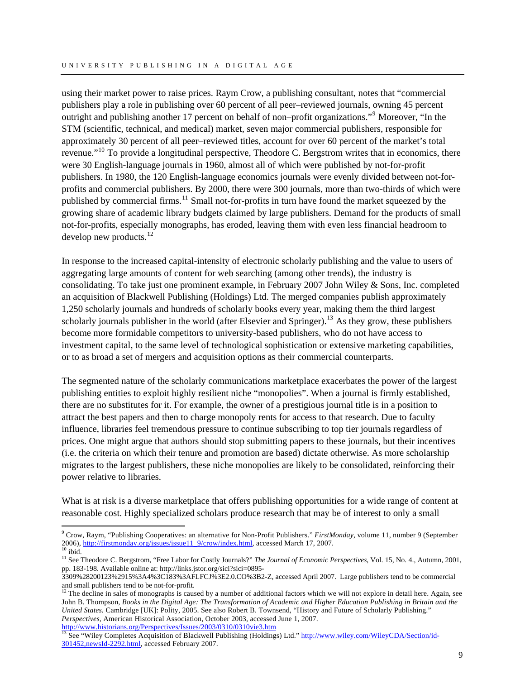using their market power to raise prices. Raym Crow, a publishing consultant, notes that "commercial publishers play a role in publishing over 60 percent of all peer–reviewed journals, owning 45 percent outright and publishing another 17 percent on behalf of non-profit organizations."<sup>[9](#page-10-0)</sup> Moreover, "In the STM (scientific, technical, and medical) market, seven major commercial publishers, responsible for approximately 30 percent of all peer–reviewed titles, account for over 60 percent of the market's total revenue."<sup>[10](#page-10-1)</sup> To provide a longitudinal perspective, Theodore C. Bergstrom writes that in economics, there were 30 English-language journals in 1960, almost all of which were published by not-for-profit publishers. In 1980, the 120 English-language economics journals were evenly divided between not-forprofits and commercial publishers. By 2000, there were 300 journals, more than two-thirds of which were published by commercial firms.<sup>[11](#page-10-2)</sup> Small not-for-profits in turn have found the market squeezed by the growing share of academic library budgets claimed by large publishers. Demand for the products of small not-for-profits, especially monographs, has eroded, leaving them with even less financial headroom to develop new products. $^{12}$  $^{12}$  $^{12}$ 

In response to the increased capital-intensity of electronic scholarly publishing and the value to users of aggregating large amounts of content for web searching (among other trends), the industry is consolidating. To take just one prominent example, in February 2007 John Wiley & Sons, Inc. completed an acquisition of Blackwell Publishing (Holdings) Ltd. The merged companies publish approximately 1,250 scholarly journals and hundreds of scholarly books every year, making them the third largest scholarly journals publisher in the world (after Elsevier and Springer).<sup>[13](#page-10-4)</sup> As they grow, these publishers become more formidable competitors to university-based publishers, who do not have access to investment capital, to the same level of technological sophistication or extensive marketing capabilities, or to as broad a set of mergers and acquisition options as their commercial counterparts.

The segmented nature of the scholarly communications marketplace exacerbates the power of the largest publishing entities to exploit highly resilient niche "monopolies". When a journal is firmly established, there are no substitutes for it. For example, the owner of a prestigious journal title is in a position to attract the best papers and then to charge monopoly rents for access to that research. Due to faculty influence, libraries feel tremendous pressure to continue subscribing to top tier journals regardless of prices. One might argue that authors should stop submitting papers to these journals, but their incentives (i.e. the criteria on which their tenure and promotion are based) dictate otherwise. As more scholarship migrates to the largest publishers, these niche monopolies are likely to be consolidated, reinforcing their power relative to libraries.

What is at risk is a diverse marketplace that offers publishing opportunities for a wide range of content at reasonable cost. Highly specialized scholars produce research that may be of interest to only a small

 $\overline{a}$ 

<span id="page-10-0"></span><sup>9</sup> Crow, Raym, "Publishing Cooperatives: an alternative for Non-Profit Publishers." *FirstMonday*, volume 11, number 9 (September 2006),  $\frac{http://firstmonday.org/issues/issue11-9/crow/index.html}{http://firstmonday.org/issues/issue11-9/crow/index.html}$ , accessed March 17, 2007.

<span id="page-10-2"></span><span id="page-10-1"></span><sup>&</sup>lt;sup>11</sup> See Theodore C. Bergstrom, "Free Labor for Costly Journals?" *The Journal of Economic Perspectives*, Vol. 15, No. 4., Autumn, 2001, pp. 183-198. Available online at: [http://links.jstor.org/sici?sici=0895-](http://links.jstor.org/sici?sici=0895-3309%28200123%2915%3A4%3C183%3AFLFCJ%3E2.0.CO%3B2-Z)

[<sup>3309%28200123%2915%3</sup>A4%3C183%3AFLFCJ%3E2.0.CO%3B2-Z](http://links.jstor.org/sici?sici=0895-3309%28200123%2915%3A4%3C183%3AFLFCJ%3E2.0.CO%3B2-Z), accessed April 2007. Large publishers tend to be commercial and small publishers tend to be not-for-profit.

<span id="page-10-3"></span> $12$  The decline in sales of monographs is caused by a number of additional factors which we will not explore in detail here. Again, see John B. Thompson, *Books in the Digital Age: The Transformation of Academic and Higher Education Publishing in Britain and the United States.* Cambridge [UK]: Polity, 2005. See also Robert B. Townsend, "History and Future of Scholarly Publishing." *Perspectives*, American Historical Association, October 2003, accessed June 1, 2007.<br>http://www.historians.org/Perspectives/Issues/2003/0310/0310vie3.htm

<span id="page-10-4"></span><sup>&</sup>lt;sup>[13](http://www.historians.org/Perspectives/Issues/2003/0310/0310vie3.htm)</sup> See "Wiley Completes Acquisition of Blackwell Publishing (Holdings) Ltd." [http://www.wiley.com/WileyCDA/Section/id-](http://www.wiley.com/WileyCDA/Section/id-301452,newsId-2292.html)[301452,newsId-2292.html](http://www.wiley.com/WileyCDA/Section/id-301452,newsId-2292.html), accessed February 2007.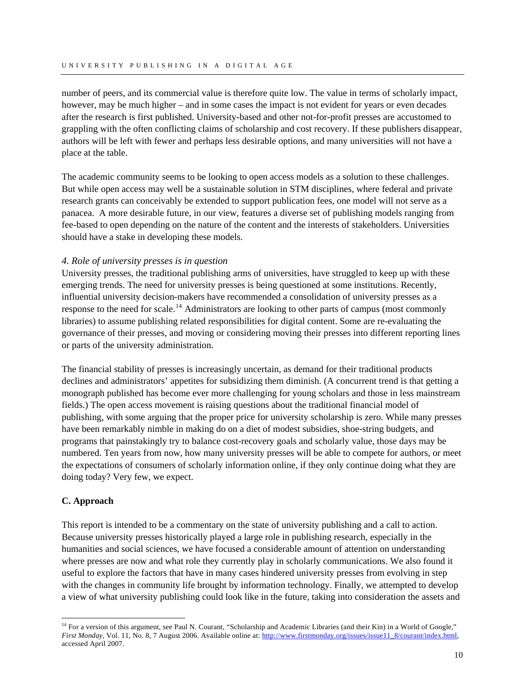<span id="page-11-0"></span>number of peers, and its commercial value is therefore quite low. The value in terms of scholarly impact, however, may be much higher – and in some cases the impact is not evident for years or even decades after the research is first published. University-based and other not-for-profit presses are accustomed to grappling with the often conflicting claims of scholarship and cost recovery. If these publishers disappear, authors will be left with fewer and perhaps less desirable options, and many universities will not have a place at the table.

The academic community seems to be looking to open access models as a solution to these challenges. But while open access may well be a sustainable solution in STM disciplines, where federal and private research grants can conceivably be extended to support publication fees, one model will not serve as a panacea. A more desirable future, in our view, features a diverse set of publishing models ranging from fee-based to open depending on the nature of the content and the interests of stakeholders. Universities should have a stake in developing these models.

# *4. Role of university presses is in question*

University presses, the traditional publishing arms of universities, have struggled to keep up with these emerging trends. The need for university presses is being questioned at some institutions. Recently, influential university decision-makers have recommended a consolidation of university presses as a response to the need for scale.<sup>[14](#page-11-1)</sup> Administrators are looking to other parts of campus (most commonly libraries) to assume publishing related responsibilities for digital content. Some are re-evaluating the governance of their presses, and moving or considering moving their presses into different reporting lines or parts of the university administration.

The financial stability of presses is increasingly uncertain, as demand for their traditional products declines and administrators' appetites for subsidizing them diminish. (A concurrent trend is that getting a monograph published has become ever more challenging for young scholars and those in less mainstream fields.) The open access movement is raising questions about the traditional financial model of publishing, with some arguing that the proper price for university scholarship is zero. While many presses have been remarkably nimble in making do on a diet of modest subsidies, shoe-string budgets, and programs that painstakingly try to balance cost-recovery goals and scholarly value, those days may be numbered. Ten years from now, how many university presses will be able to compete for authors, or meet the expectations of consumers of scholarly information online, if they only continue doing what they are doing today? Very few, we expect.

# **C. Approach**

 $\overline{a}$ 

This report is intended to be a commentary on the state of university publishing and a call to action. Because university presses historically played a large role in publishing research, especially in the humanities and social sciences, we have focused a considerable amount of attention on understanding where presses are now and what role they currently play in scholarly communications. We also found it useful to explore the factors that have in many cases hindered university presses from evolving in step with the changes in community life brought by information technology. Finally, we attempted to develop a view of what university publishing could look like in the future, taking into consideration the assets and

<span id="page-11-1"></span><sup>&</sup>lt;sup>14</sup> For a version of this argument, see Paul N. Courant, "Scholarship and Academic Libraries (and their Kin) in a World of Google," *First Monday, Vol. 11, No. 8, 7 August 2006. Available online at: [http://www.firstmonday.org/issues/issue11\\_8/courant/index.html](http://www.firstmonday.org/issues/issue11_8/courant/index.html),* accessed April 2007.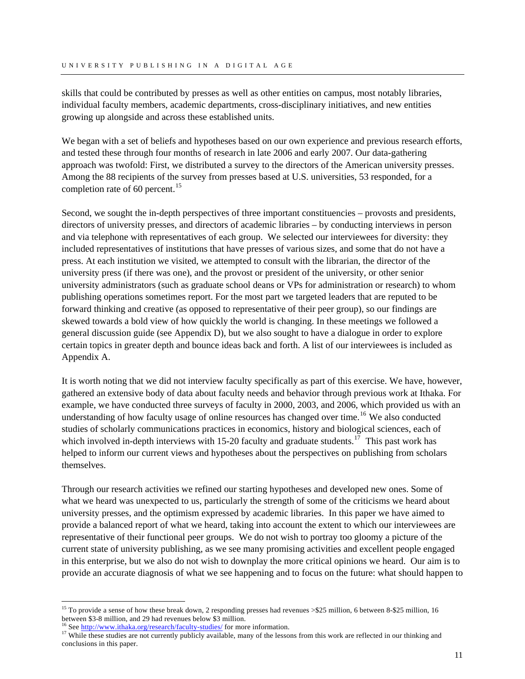skills that could be contributed by presses as well as other entities on campus, most notably libraries, individual faculty members, academic departments, cross-disciplinary initiatives, and new entities growing up alongside and across these established units.

We began with a set of beliefs and hypotheses based on our own experience and previous research efforts, and tested these through four months of research in late 2006 and early 2007. Our data-gathering approach was twofold: First, we distributed a survey to the directors of the American university presses. Among the 88 recipients of the survey from presses based at U.S. universities, 53 responded, for a completion rate of 60 percent. $^{15}$  $^{15}$  $^{15}$ 

Second, we sought the in-depth perspectives of three important constituencies – provosts and presidents, directors of university presses, and directors of academic libraries – by conducting interviews in person and via telephone with representatives of each group. We selected our interviewees for diversity: they included representatives of institutions that have presses of various sizes, and some that do not have a press. At each institution we visited, we attempted to consult with the librarian, the director of the university press (if there was one), and the provost or president of the university, or other senior university administrators (such as graduate school deans or VPs for administration or research) to whom publishing operations sometimes report. For the most part we targeted leaders that are reputed to be forward thinking and creative (as opposed to representative of their peer group), so our findings are skewed towards a bold view of how quickly the world is changing. In these meetings we followed a general discussion guide (see Appendix D), but we also sought to have a dialogue in order to explore certain topics in greater depth and bounce ideas back and forth. A list of our interviewees is included as Appendix A.

It is worth noting that we did not interview faculty specifically as part of this exercise. We have, however, gathered an extensive body of data about faculty needs and behavior through previous work at Ithaka. For example, we have conducted three surveys of faculty in 2000, 2003, and 2006, which provided us with an understanding of how faculty usage of online resources has changed over time.<sup>[16](#page-12-1)</sup> We also conducted studies of scholarly communications practices in economics, history and biological sciences, each of which involved in-depth interviews with 15-20 faculty and graduate students.<sup>[17](#page-12-2)</sup> This past work has helped to inform our current views and hypotheses about the perspectives on publishing from scholars themselves.

Through our research activities we refined our starting hypotheses and developed new ones. Some of what we heard was unexpected to us, particularly the strength of some of the criticisms we heard about university presses, and the optimism expressed by academic libraries. In this paper we have aimed to provide a balanced report of what we heard, taking into account the extent to which our interviewees are representative of their functional peer groups. We do not wish to portray too gloomy a picture of the current state of university publishing, as we see many promising activities and excellent people engaged in this enterprise, but we also do not wish to downplay the more critical opinions we heard. Our aim is to provide an accurate diagnosis of what we see happening and to focus on the future: what should happen to

 $\overline{a}$ 

<span id="page-12-0"></span><sup>&</sup>lt;sup>15</sup> To provide a sense of how these break down, 2 responding presses had revenues  $>$ \$25 million, 6 between 8-\$25 million, 16 betwe[en \\$3-8 million, and 29 had revenues below \\$3 m](http://www.ithaka.org/research/faculty-studies/)illion.<br><sup>16</sup> See <http://www.ithaka.org/research/faculty-studies/>for more information.<br><sup>17</sup> While these studies are not currently publicly available, many of the lessons

<span id="page-12-2"></span><span id="page-12-1"></span>conclusions in this paper.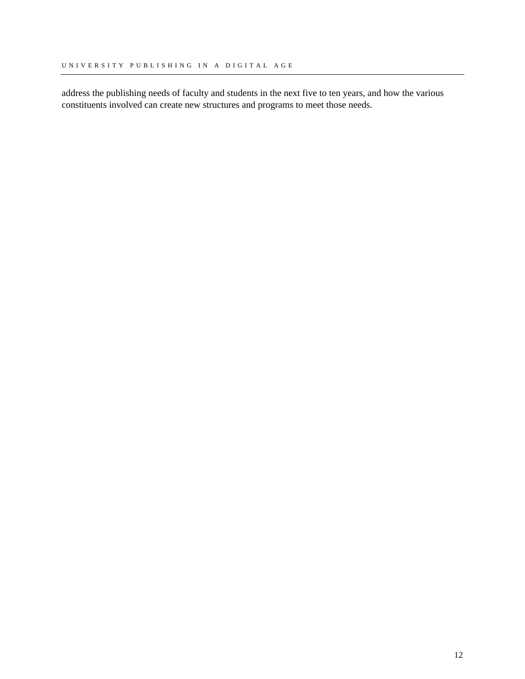address the publishing needs of faculty and students in the next five to ten years, and how the various constituents involved can create new structures and programs to meet those needs.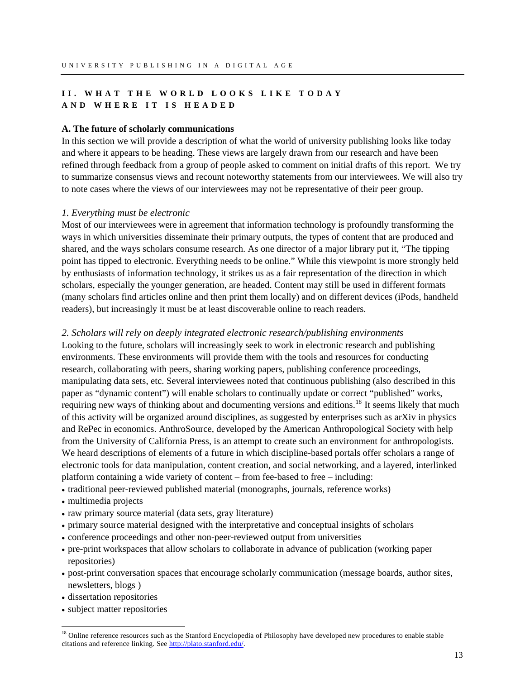# <span id="page-14-0"></span>**II. WHAT THE WORLD LOOKS LIKE TODAY AND WHERE IT IS HEADED**

#### **A. The future of scholarly communications**

In this section we will provide a description of what the world of university publishing looks like today and where it appears to be heading. These views are largely drawn from our research and have been refined through feedback from a group of people asked to comment on initial drafts of this report. We try to summarize consensus views and recount noteworthy statements from our interviewees. We will also try to note cases where the views of our interviewees may not be representative of their peer group.

#### *1. Everything must be electronic*

Most of our interviewees were in agreement that information technology is profoundly transforming the ways in which universities disseminate their primary outputs, the types of content that are produced and shared, and the ways scholars consume research. As one director of a major library put it, "The tipping point has tipped to electronic. Everything needs to be online." While this viewpoint is more strongly held by enthusiasts of information technology, it strikes us as a fair representation of the direction in which scholars, especially the younger generation, are headed. Content may still be used in different formats (many scholars find articles online and then print them locally) and on different devices (iPods, handheld readers), but increasingly it must be at least discoverable online to reach readers.

#### *2. Scholars will rely on deeply integrated electronic research/publishing environments*

Looking to the future, scholars will increasingly seek to work in electronic research and publishing environments. These environments will provide them with the tools and resources for conducting research, collaborating with peers, sharing working papers, publishing conference proceedings, manipulating data sets, etc. Several interviewees noted that continuous publishing (also described in this paper as "dynamic content") will enable scholars to continually update or correct "published" works, requiring new ways of thinking about and documenting versions and editions.<sup>[18](#page-14-1)</sup> It seems likely that much of this activity will be organized around disciplines, as suggested by enterprises such as arXiv in physics and RePec in economics. AnthroSource, developed by the American Anthropological Society with help from the University of California Press, is an attempt to create such an environment for anthropologists. We heard descriptions of elements of a future in which discipline-based portals offer scholars a range of electronic tools for data manipulation, content creation, and social networking, and a layered, interlinked platform containing a wide variety of content – from fee-based to free – including:

- traditional peer-reviewed published material (monographs, journals, reference works)
- multimedia projects
- raw primary source material (data sets, gray literature)
- primary source material designed with the interpretative and conceptual insights of scholars
- conference proceedings and other non-peer-reviewed output from universities
- pre-print workspaces that allow scholars to collaborate in advance of publication (working paper repositories)
- post-print conversation spaces that encourage scholarly communication (message boards, author sites, newsletters, blogs )
- dissertation repositories

 $\overline{a}$ 

• subject matter repositories

<span id="page-14-1"></span><sup>&</sup>lt;sup>18</sup> Online reference resources such as the Stanford Encyclopedia of Philosophy have developed new procedures to enable stable citations and reference linking. See<http://plato.stanford.edu/>.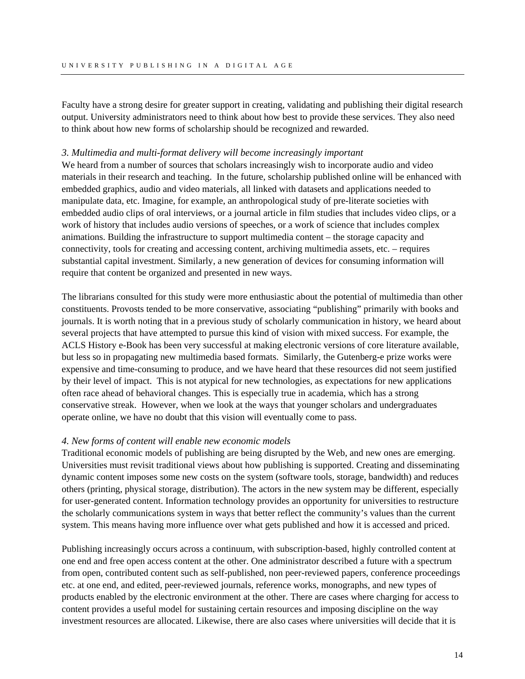Faculty have a strong desire for greater support in creating, validating and publishing their digital research output. University administrators need to think about how best to provide these services. They also need to think about how new forms of scholarship should be recognized and rewarded.

#### *3. Multimedia and multi-format delivery will become increasingly important*

We heard from a number of sources that scholars increasingly wish to incorporate audio and video materials in their research and teaching. In the future, scholarship published online will be enhanced with embedded graphics, audio and video materials, all linked with datasets and applications needed to manipulate data, etc. Imagine, for example, an anthropological study of pre-literate societies with embedded audio clips of oral interviews, or a journal article in film studies that includes video clips, or a work of history that includes audio versions of speeches, or a work of science that includes complex animations. Building the infrastructure to support multimedia content – the storage capacity and connectivity, tools for creating and accessing content, archiving multimedia assets, etc. – requires substantial capital investment. Similarly, a new generation of devices for consuming information will require that content be organized and presented in new ways.

The librarians consulted for this study were more enthusiastic about the potential of multimedia than other constituents. Provosts tended to be more conservative, associating "publishing" primarily with books and journals. It is worth noting that in a previous study of scholarly communication in history, we heard about several projects that have attempted to pursue this kind of vision with mixed success. For example, the ACLS History e-Book has been very successful at making electronic versions of core literature available, but less so in propagating new multimedia based formats. Similarly, the Gutenberg-e prize works were expensive and time-consuming to produce, and we have heard that these resources did not seem justified by their level of impact. This is not atypical for new technologies, as expectations for new applications often race ahead of behavioral changes. This is especially true in academia, which has a strong conservative streak. However, when we look at the ways that younger scholars and undergraduates operate online, we have no doubt that this vision will eventually come to pass.

### *4. New forms of content will enable new economic models*

Traditional economic models of publishing are being disrupted by the Web, and new ones are emerging. Universities must revisit traditional views about how publishing is supported. Creating and disseminating dynamic content imposes some new costs on the system (software tools, storage, bandwidth) and reduces others (printing, physical storage, distribution). The actors in the new system may be different, especially for user-generated content. Information technology provides an opportunity for universities to restructure the scholarly communications system in ways that better reflect the community's values than the current system. This means having more influence over what gets published and how it is accessed and priced.

Publishing increasingly occurs across a continuum, with subscription-based, highly controlled content at one end and free open access content at the other. One administrator described a future with a spectrum from open, contributed content such as self-published, non peer-reviewed papers, conference proceedings etc. at one end, and edited, peer-reviewed journals, reference works, monographs, and new types of products enabled by the electronic environment at the other. There are cases where charging for access to content provides a useful model for sustaining certain resources and imposing discipline on the way investment resources are allocated. Likewise, there are also cases where universities will decide that it is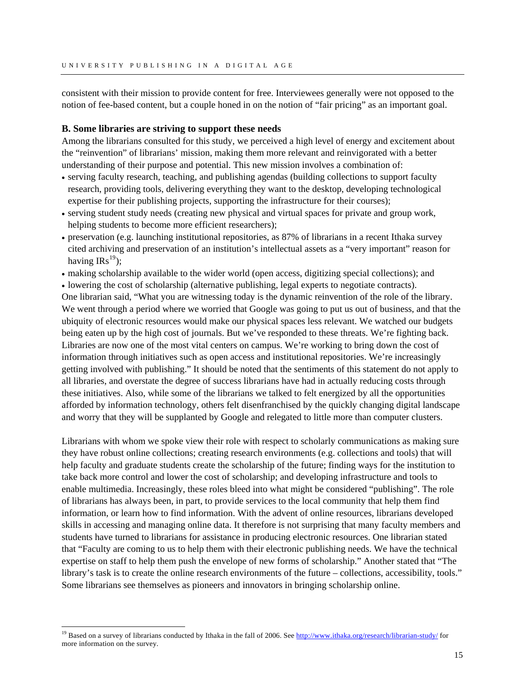<span id="page-16-0"></span>consistent with their mission to provide content for free. Interviewees generally were not opposed to the notion of fee-based content, but a couple honed in on the notion of "fair pricing" as an important goal.

#### **B. Some libraries are striving to support these needs**

Among the librarians consulted for this study, we perceived a high level of energy and excitement about the "reinvention" of librarians' mission, making them more relevant and reinvigorated with a better understanding of their purpose and potential. This new mission involves a combination of:

- serving faculty research, teaching, and publishing agendas (building collections to support faculty research, providing tools, delivering everything they want to the desktop, developing technological expertise for their publishing projects, supporting the infrastructure for their courses);
- serving student study needs (creating new physical and virtual spaces for private and group work, helping students to become more efficient researchers);
- preservation (e.g. launching institutional repositories, as 87% of librarians in a recent Ithaka survey cited archiving and preservation of an institution's intellectual assets as a "very important" reason for having  $IRs^{19}$  $IRs^{19}$  $IRs^{19}$ );
- making scholarship available to the wider world (open access, digitizing special collections); and
- lowering the cost of scholarship (alternative publishing, legal experts to negotiate contracts).

One librarian said, "What you are witnessing today is the dynamic reinvention of the role of the library. We went through a period where we worried that Google was going to put us out of business, and that the ubiquity of electronic resources would make our physical spaces less relevant. We watched our budgets being eaten up by the high cost of journals. But we've responded to these threats. We're fighting back. Libraries are now one of the most vital centers on campus. We're working to bring down the cost of information through initiatives such as open access and institutional repositories. We're increasingly getting involved with publishing." It should be noted that the sentiments of this statement do not apply to all libraries, and overstate the degree of success librarians have had in actually reducing costs through these initiatives. Also, while some of the librarians we talked to felt energized by all the opportunities afforded by information technology, others felt disenfranchised by the quickly changing digital landscape and worry that they will be supplanted by Google and relegated to little more than computer clusters.

Librarians with whom we spoke view their role with respect to scholarly communications as making sure they have robust online collections; creating research environments (e.g. collections and tools) that will help faculty and graduate students create the scholarship of the future; finding ways for the institution to take back more control and lower the cost of scholarship; and developing infrastructure and tools to enable multimedia. Increasingly, these roles bleed into what might be considered "publishing". The role of librarians has always been, in part, to provide services to the local community that help them find information, or learn how to find information. With the advent of online resources, librarians developed skills in accessing and managing online data. It therefore is not surprising that many faculty members and students have turned to librarians for assistance in producing electronic resources. One librarian stated that "Faculty are coming to us to help them with their electronic publishing needs. We have the technical expertise on staff to help them push the envelope of new forms of scholarship." Another stated that "The library's task is to create the online research environments of the future – collections, accessibility, tools." Some librarians see themselves as pioneers and innovators in bringing scholarship online.

 $\overline{a}$ 

<span id="page-16-1"></span><sup>&</sup>lt;sup>19</sup> Based on a survey of librarians conducted by Ithaka in the fall of 2006. See <http://www.ithaka.org/research/librarian-study/>for more information on the survey.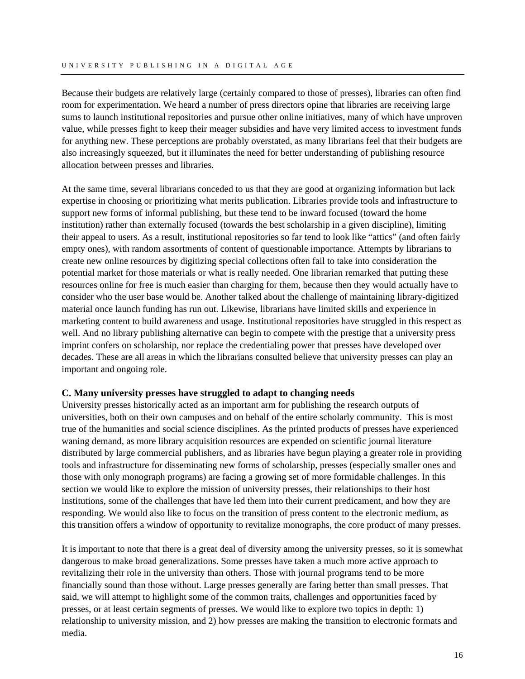<span id="page-17-0"></span>Because their budgets are relatively large (certainly compared to those of presses), libraries can often find room for experimentation. We heard a number of press directors opine that libraries are receiving large sums to launch institutional repositories and pursue other online initiatives, many of which have unproven value, while presses fight to keep their meager subsidies and have very limited access to investment funds for anything new. These perceptions are probably overstated, as many librarians feel that their budgets are also increasingly squeezed, but it illuminates the need for better understanding of publishing resource allocation between presses and libraries.

At the same time, several librarians conceded to us that they are good at organizing information but lack expertise in choosing or prioritizing what merits publication. Libraries provide tools and infrastructure to support new forms of informal publishing, but these tend to be inward focused (toward the home institution) rather than externally focused (towards the best scholarship in a given discipline), limiting their appeal to users. As a result, institutional repositories so far tend to look like "attics" (and often fairly empty ones), with random assortments of content of questionable importance. Attempts by librarians to create new online resources by digitizing special collections often fail to take into consideration the potential market for those materials or what is really needed. One librarian remarked that putting these resources online for free is much easier than charging for them, because then they would actually have to consider who the user base would be. Another talked about the challenge of maintaining library-digitized material once launch funding has run out. Likewise, librarians have limited skills and experience in marketing content to build awareness and usage. Institutional repositories have struggled in this respect as well. And no library publishing alternative can begin to compete with the prestige that a university press imprint confers on scholarship, nor replace the credentialing power that presses have developed over decades. These are all areas in which the librarians consulted believe that university presses can play an important and ongoing role.

# **C. Many university presses have struggled to adapt to changing needs**

University presses historically acted as an important arm for publishing the research outputs of universities, both on their own campuses and on behalf of the entire scholarly community. This is most true of the humanities and social science disciplines. As the printed products of presses have experienced waning demand, as more library acquisition resources are expended on scientific journal literature distributed by large commercial publishers, and as libraries have begun playing a greater role in providing tools and infrastructure for disseminating new forms of scholarship, presses (especially smaller ones and those with only monograph programs) are facing a growing set of more formidable challenges. In this section we would like to explore the mission of university presses, their relationships to their host institutions, some of the challenges that have led them into their current predicament, and how they are responding. We would also like to focus on the transition of press content to the electronic medium, as this transition offers a window of opportunity to revitalize monographs, the core product of many presses.

It is important to note that there is a great deal of diversity among the university presses, so it is somewhat dangerous to make broad generalizations. Some presses have taken a much more active approach to revitalizing their role in the university than others. Those with journal programs tend to be more financially sound than those without. Large presses generally are faring better than small presses. That said, we will attempt to highlight some of the common traits, challenges and opportunities faced by presses, or at least certain segments of presses. We would like to explore two topics in depth: 1) relationship to university mission, and 2) how presses are making the transition to electronic formats and media.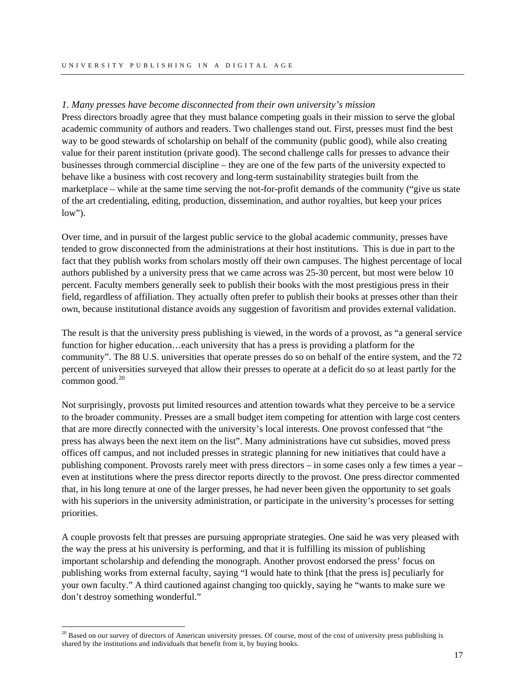# *1. Many presses have become disconnected from their own university's mission*

Press directors broadly agree that they must balance competing goals in their mission to serve the global academic community of authors and readers. Two challenges stand out. First, presses must find the best way to be good stewards of scholarship on behalf of the community (public good), while also creating value for their parent institution (private good). The second challenge calls for presses to advance their businesses through commercial discipline – they are one of the few parts of the university expected to behave like a business with cost recovery and long-term sustainability strategies built from the marketplace – while at the same time serving the not-for-profit demands of the community ("give us state of the art credentialing, editing, production, dissemination, and author royalties, but keep your prices  $low$ ").

Over time, and in pursuit of the largest public service to the global academic community, presses have tended to grow disconnected from the administrations at their host institutions. This is due in part to the fact that they publish works from scholars mostly off their own campuses. The highest percentage of local authors published by a university press that we came across was 25-30 percent, but most were below 10 percent. Faculty members generally seek to publish their books with the most prestigious press in their field, regardless of affiliation. They actually often prefer to publish their books at presses other than their own, because institutional distance avoids any suggestion of favoritism and provides external validation.

The result is that the university press publishing is viewed, in the words of a provost, as "a general service function for higher education…each university that has a press is providing a platform for the community". The 88 U.S. universities that operate presses do so on behalf of the entire system, and the 72 percent of universities surveyed that allow their presses to operate at a deficit do so at least partly for the common good. $20$ 

Not surprisingly, provosts put limited resources and attention towards what they perceive to be a service to the broader community. Presses are a small budget item competing for attention with large cost centers that are more directly connected with the university's local interests. One provost confessed that "the press has always been the next item on the list". Many administrations have cut subsidies, moved press offices off campus, and not included presses in strategic planning for new initiatives that could have a publishing component. Provosts rarely meet with press directors – in some cases only a few times a year – even at institutions where the press director reports directly to the provost. One press director commented that, in his long tenure at one of the larger presses, he had never been given the opportunity to set goals with his superiors in the university administration, or participate in the university's processes for setting priorities.

A couple provosts felt that presses are pursuing appropriate strategies. One said he was very pleased with the way the press at his university is performing, and that it is fulfilling its mission of publishing important scholarship and defending the monograph. Another provost endorsed the press' focus on publishing works from external faculty, saying "I would hate to think [that the press is] peculiarly for your own faculty." A third cautioned against changing too quickly, saying he "wants to make sure we don't destroy something wonderful."

 $\overline{a}$ 

<span id="page-18-0"></span><sup>&</sup>lt;sup>20</sup> Based on our survey of directors of American university presses. Of course, most of the cost of university press publishing is shared by the institutions and individuals that benefit from it, by buying books.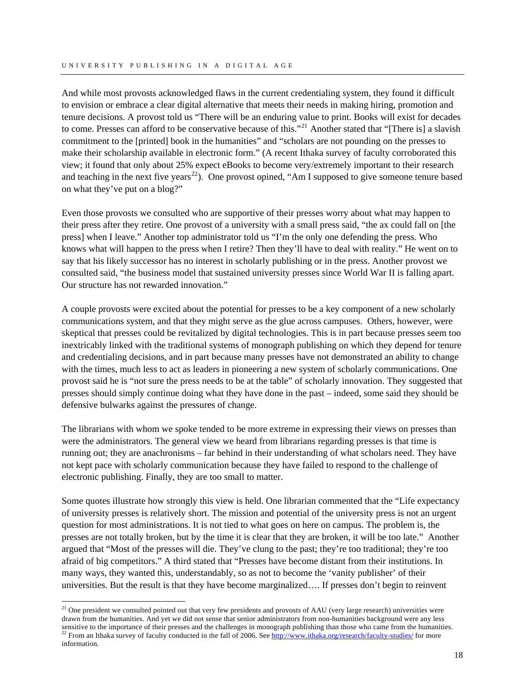And while most provosts acknowledged flaws in the current credentialing system, they found it difficult to envision or embrace a clear digital alternative that meets their needs in making hiring, promotion and tenure decisions. A provost told us "There will be an enduring value to print. Books will exist for decades to come. Presses can afford to be conservative because of this."<sup>[21](#page-19-0)</sup> Another stated that "[There is] a slavish commitment to the [printed] book in the humanities" and "scholars are not pounding on the presses to make their scholarship available in electronic form." (A recent Ithaka survey of faculty corroborated this view; it found that only about 25% expect eBooks to become very/extremely important to their research and teaching in the next five years<sup>[22](#page-19-1)</sup>). One provost opined, "Am I supposed to give someone tenure based on what they've put on a blog?"

Even those provosts we consulted who are supportive of their presses worry about what may happen to their press after they retire. One provost of a university with a small press said, "the ax could fall on [the press] when I leave." Another top administrator told us "I'm the only one defending the press. Who knows what will happen to the press when I retire? Then they'll have to deal with reality." He went on to say that his likely successor has no interest in scholarly publishing or in the press. Another provost we consulted said, "the business model that sustained university presses since World War II is falling apart. Our structure has not rewarded innovation."

A couple provosts were excited about the potential for presses to be a key component of a new scholarly communications system, and that they might serve as the glue across campuses. Others, however, were skeptical that presses could be revitalized by digital technologies. This is in part because presses seem too inextricably linked with the traditional systems of monograph publishing on which they depend for tenure and credentialing decisions, and in part because many presses have not demonstrated an ability to change with the times, much less to act as leaders in pioneering a new system of scholarly communications. One provost said he is "not sure the press needs to be at the table" of scholarly innovation. They suggested that presses should simply continue doing what they have done in the past – indeed, some said they should be defensive bulwarks against the pressures of change.

The librarians with whom we spoke tended to be more extreme in expressing their views on presses than were the administrators. The general view we heard from librarians regarding presses is that time is running out; they are anachronisms – far behind in their understanding of what scholars need. They have not kept pace with scholarly communication because they have failed to respond to the challenge of electronic publishing. Finally, they are too small to matter.

Some quotes illustrate how strongly this view is held. One librarian commented that the "Life expectancy of university presses is relatively short. The mission and potential of the university press is not an urgent question for most administrations. It is not tied to what goes on here on campus. The problem is, the presses are not totally broken, but by the time it is clear that they are broken, it will be too late." Another argued that "Most of the presses will die. They've clung to the past; they're too traditional; they're too afraid of big competitors." A third stated that "Presses have become distant from their institutions. In many ways, they wanted this, understandably, so as not to become the 'vanity publisher' of their universities. But the result is that they have become marginalized…. If presses don't begin to reinvent

 $\overline{a}$ 

<span id="page-19-1"></span><span id="page-19-0"></span><sup>&</sup>lt;sup>21</sup> One president we consulted pointed out that very few presidents and provosts of AAU (very large research) universities were drawn from the humanities. And yet we did not sense that senior administrators from non-humanities background were any less sensitive to the importance of their presses and the challenges in monograph publishing than those <sup>22</sup> From an Ithaka survey of faculty conducted in the fall of 2006. See <http://www.ithaka.org/research/faculty-studies/> for more information.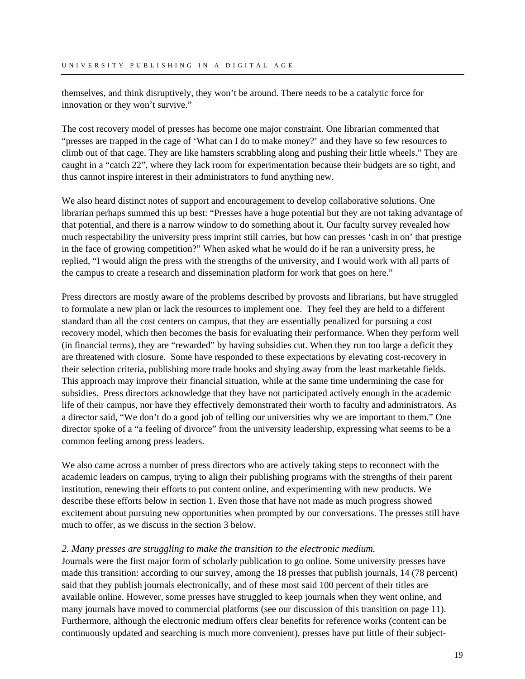themselves, and think disruptively, they won't be around. There needs to be a catalytic force for innovation or they won't survive."

The cost recovery model of presses has become one major constraint. One librarian commented that "presses are trapped in the cage of 'What can I do to make money?' and they have so few resources to climb out of that cage. They are like hamsters scrabbling along and pushing their little wheels." They are caught in a "catch 22", where they lack room for experimentation because their budgets are so tight, and thus cannot inspire interest in their administrators to fund anything new.

We also heard distinct notes of support and encouragement to develop collaborative solutions. One librarian perhaps summed this up best: "Presses have a huge potential but they are not taking advantage of that potential, and there is a narrow window to do something about it. Our faculty survey revealed how much respectability the university press imprint still carries, but how can presses 'cash in on' that prestige in the face of growing competition?" When asked what he would do if he ran a university press, he replied, "I would align the press with the strengths of the university, and I would work with all parts of the campus to create a research and dissemination platform for work that goes on here."

Press directors are mostly aware of the problems described by provosts and librarians, but have struggled to formulate a new plan or lack the resources to implement one. They feel they are held to a different standard than all the cost centers on campus, that they are essentially penalized for pursuing a cost recovery model, which then becomes the basis for evaluating their performance. When they perform well (in financial terms), they are "rewarded" by having subsidies cut. When they run too large a deficit they are threatened with closure. Some have responded to these expectations by elevating cost-recovery in their selection criteria, publishing more trade books and shying away from the least marketable fields. This approach may improve their financial situation, while at the same time undermining the case for subsidies. Press directors acknowledge that they have not participated actively enough in the academic life of their campus, nor have they effectively demonstrated their worth to faculty and administrators. As a director said, "We don't do a good job of telling our universities why we are important to them." One director spoke of a "a feeling of divorce" from the university leadership, expressing what seems to be a common feeling among press leaders.

We also came across a number of press directors who are actively taking steps to reconnect with the academic leaders on campus, trying to align their publishing programs with the strengths of their parent institution, renewing their efforts to put content online, and experimenting with new products. We describe these efforts below in section 1. Even those that have not made as much progress showed excitement about pursuing new opportunities when prompted by our conversations. The presses still have much to offer, as we discuss in the section 3 below.

# *2. Many presses are struggling to make the transition to the electronic medium.*

Journals were the first major form of scholarly publication to go online. Some university presses have made this transition: according to our survey, among the 18 presses that publish journals, 14 (78 percent) said that they publish journals electronically, and of these most said 100 percent of their titles are available online. However, some presses have struggled to keep journals when they went online, and many journals have moved to commercial platforms (see our discussion of this transition on page 11). Furthermore, although the electronic medium offers clear benefits for reference works (content can be continuously updated and searching is much more convenient), presses have put little of their subject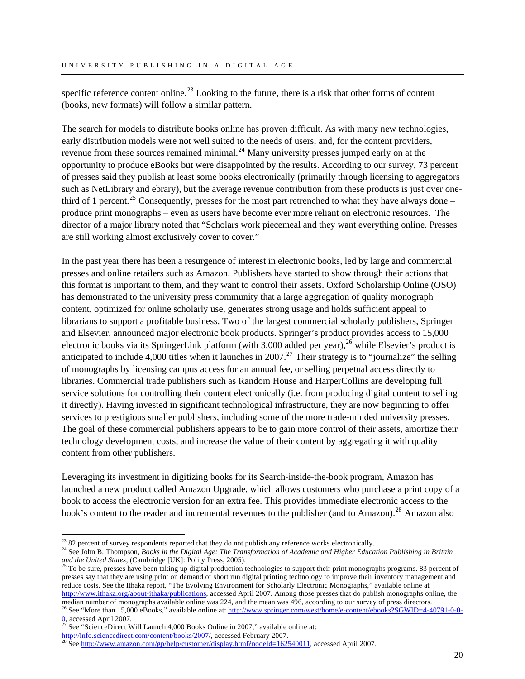specific reference content online.<sup>[23](#page-21-0)</sup> Looking to the future, there is a risk that other forms of content (books, new formats) will follow a similar pattern.

The search for models to distribute books online has proven difficult. As with many new technologies, early distribution models were not well suited to the needs of users, and, for the content providers, revenue from these sources remained minimal.<sup>[24](#page-21-1)</sup> Many university presses jumped early on at the opportunity to produce eBooks but were disappointed by the results. According to our survey, 73 percent of presses said they publish at least some books electronically (primarily through licensing to aggregators such as NetLibrary and ebrary), but the average revenue contribution from these products is just over one-third of 1 percent.<sup>[25](#page-21-2)</sup> Consequently, presses for the most part retrenched to what they have always done – produce print monographs – even as users have become ever more reliant on electronic resources. The director of a major library noted that "Scholars work piecemeal and they want everything online. Presses are still working almost exclusively cover to cover."

In the past year there has been a resurgence of interest in electronic books, led by large and commercial presses and online retailers such as Amazon. Publishers have started to show through their actions that this format is important to them, and they want to control their assets. Oxford Scholarship Online (OSO) has demonstrated to the university press community that a large aggregation of quality monograph content, optimized for online scholarly use, generates strong usage and holds sufficient appeal to librarians to support a profitable business. Two of the largest commercial scholarly publishers, Springer and Elsevier, announced major electronic book products. Springer's product provides access to 15,000 electronic books via its SpringerLink platform (with  $3,000$  added per year), <sup>[26](#page-21-3)</sup> while Elsevier's product is anticipated to include 4,000 titles when it launches in 2007.<sup>[27](#page-21-4)</sup> Their strategy is to "journalize" the selling of monographs by licensing campus access for an annual fee**,** or selling perpetual access directly to libraries. Commercial trade publishers such as Random House and HarperCollins are developing full service solutions for controlling their content electronically (i.e. from producing digital content to selling it directly). Having invested in significant technological infrastructure, they are now beginning to offer services to prestigious smaller publishers, including some of the more trade-minded university presses. The goal of these commercial publishers appears to be to gain more control of their assets, amortize their technology development costs, and increase the value of their content by aggregating it with quality content from other publishers.

Leveraging its investment in digitizing books for its Search-inside-the-book program, Amazon has launched a new product called Amazon Upgrade, which allows customers who purchase a print copy of a book to access the electronic version for an extra fee. This provides immediate electronic access to the book's content to the reader and incremental revenues to the publisher (and to Amazon).<sup>[28](#page-21-5)</sup> Amazon also

<span id="page-21-2"></span>presses say that they are using print on demand or short run digital printing technology to improve their inventory management and reduce costs. See the Ithaka report, "The Evolving Environment for Scholarly Electronic Monographs," available online at [http://www.ithaka.org/about-ithaka/publications,](http://www.ithaka.org/about-ithaka/publications) accessed April 2007. Among those presses that do publish monographs online, the median number of monographs available online was 224, and the mean was 496, according to our survey of press directors.

 $\overline{a}$ 

 $2<sup>23</sup>$  82 percent of survey respondents reported that they do not publish any reference works electronically.

<span id="page-21-1"></span><span id="page-21-0"></span><sup>24</sup> See John B. Thompson, *Books in the Digital Age: The Transformation of Academic and Higher Education Publishing in Britain and the United States,* (Cambridge [UK]: Polity Press, 2005). <sup>25</sup> To be sure, presses have been taking up digital production technologies to support their print monographs programs. 83 percent of

<span id="page-21-3"></span><sup>&</sup>lt;sup>26</sup> See "More than 15,000 eBooks," available online at: [http://www.springer.com/west/home/e-content/ebooks?SGWID=4-40791-0-0-](http://www.springer.com/west/home/e-content/ebooks?SGWID=4-40791-0-0-0)  $\frac{0}{27}$  $\frac{0}{27}$  $\frac{0}{27}$  accessed April 2007.

<sup>&</sup>lt;sup>27</sup> See "ScienceDirect Will Launch 4,000 Books Online in 2007," available online at:<br>http://info.sciencedirect.com/content/books/2007/, accessed February 2007.

<span id="page-21-4"></span>

<span id="page-21-5"></span> $\frac{28}{100}$  $\frac{28}{100}$  $\frac{28}{100}$  See [http://www.amazon.com/gp/help/customer/display.html?nodeId=162540011,](http://www.amazon.com/gp/help/customer/display.html?nodeId=162540011) accessed April 2007.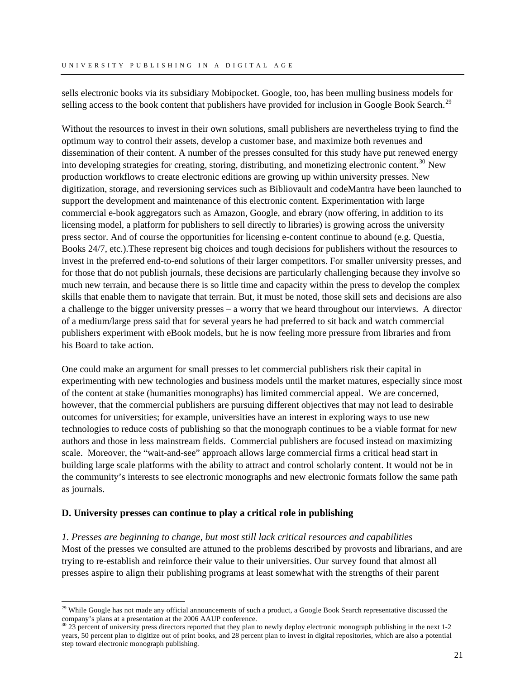<span id="page-22-0"></span>sells electronic books via its subsidiary Mobipocket. Google, too, has been mulling business models for selling access to the book content that publishers have provided for inclusion in Google Book Search.<sup>[29](#page-22-1)</sup>

Without the resources to invest in their own solutions, small publishers are nevertheless trying to find the optimum way to control their assets, develop a customer base, and maximize both revenues and dissemination of their content. A number of the presses consulted for this study have put renewed energy into developing strategies for creating, storing, distributing, and monetizing electronic content.<sup>[30](#page-22-2)</sup> New production workflows to create electronic editions are growing up within university presses. New digitization, storage, and reversioning services such as Bibliovault and codeMantra have been launched to support the development and maintenance of this electronic content. Experimentation with large commercial e-book aggregators such as Amazon, Google, and ebrary (now offering, in addition to its licensing model, a platform for publishers to sell directly to libraries) is growing across the university press sector. And of course the opportunities for licensing e-content continue to abound (e.g. Questia, Books 24/7, etc.).These represent big choices and tough decisions for publishers without the resources to invest in the preferred end-to-end solutions of their larger competitors. For smaller university presses, and for those that do not publish journals, these decisions are particularly challenging because they involve so much new terrain, and because there is so little time and capacity within the press to develop the complex skills that enable them to navigate that terrain. But, it must be noted, those skill sets and decisions are also a challenge to the bigger university presses – a worry that we heard throughout our interviews. A director of a medium/large press said that for several years he had preferred to sit back and watch commercial publishers experiment with eBook models, but he is now feeling more pressure from libraries and from his Board to take action.

One could make an argument for small presses to let commercial publishers risk their capital in experimenting with new technologies and business models until the market matures, especially since most of the content at stake (humanities monographs) has limited commercial appeal. We are concerned, however, that the commercial publishers are pursuing different objectives that may not lead to desirable outcomes for universities; for example, universities have an interest in exploring ways to use new technologies to reduce costs of publishing so that the monograph continues to be a viable format for new authors and those in less mainstream fields. Commercial publishers are focused instead on maximizing scale. Moreover, the "wait-and-see" approach allows large commercial firms a critical head start in building large scale platforms with the ability to attract and control scholarly content. It would not be in the community's interests to see electronic monographs and new electronic formats follow the same path as journals.

# **D. University presses can continue to play a critical role in publishing**

 $\overline{a}$ 

*1. Presses are beginning to change, but most still lack critical resources and capabilities*  Most of the presses we consulted are attuned to the problems described by provosts and librarians, and are trying to re-establish and reinforce their value to their universities. Our survey found that almost all presses aspire to align their publishing programs at least somewhat with the strengths of their parent

<span id="page-22-1"></span><sup>&</sup>lt;sup>29</sup> While Google has not made any official announcements of such a product, a Google Book Search representative discussed the company's plans at a presentation at the 2006 AAUP conference.

<span id="page-22-2"></span> $30\,23$  percent of university press directors reported that they plan to newly deploy electronic monograph publishing in the next 1-2 years, 50 percent plan to digitize out of print books, and 28 percent plan to invest in digital repositories, which are also a potential step toward electronic monograph publishing.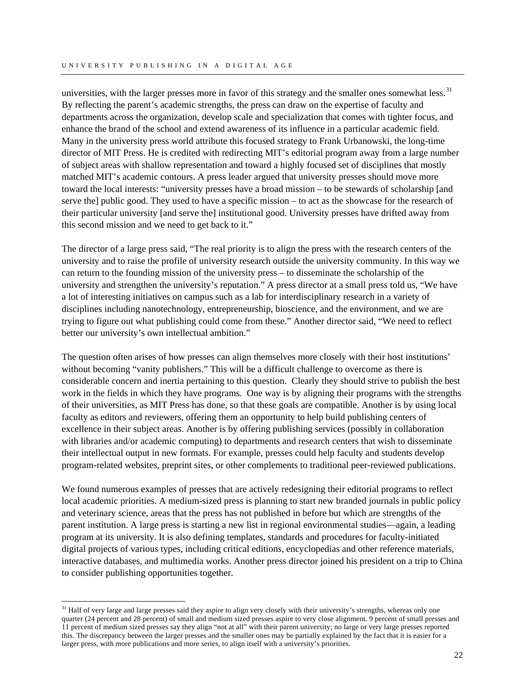universities, with the larger presses more in favor of this strategy and the smaller ones somewhat less.<sup>[31](#page-23-0)</sup> By reflecting the parent's academic strengths, the press can draw on the expertise of faculty and departments across the organization, develop scale and specialization that comes with tighter focus, and enhance the brand of the school and extend awareness of its influence in a particular academic field. Many in the university press world attribute this focused strategy to Frank Urbanowski, the long-time director of MIT Press. He is credited with redirecting MIT's editorial program away from a large number of subject areas with shallow representation and toward a highly focused set of disciplines that mostly matched MIT's academic contours. A press leader argued that university presses should move more toward the local interests: "university presses have a broad mission – to be stewards of scholarship [and serve the] public good. They used to have a specific mission – to act as the showcase for the research of their particular university [and serve the] institutional good. University presses have drifted away from this second mission and we need to get back to it."

The director of a large press said, "The real priority is to align the press with the research centers of the university and to raise the profile of university research outside the university community. In this way we can return to the founding mission of the university press – to disseminate the scholarship of the university and strengthen the university's reputation." A press director at a small press told us, "We have a lot of interesting initiatives on campus such as a lab for interdisciplinary research in a variety of disciplines including nanotechnology, entrepreneurship, bioscience, and the environment, and we are trying to figure out what publishing could come from these." Another director said, "We need to reflect better our university's own intellectual ambition."

The question often arises of how presses can align themselves more closely with their host institutions' without becoming "vanity publishers." This will be a difficult challenge to overcome as there is considerable concern and inertia pertaining to this question. Clearly they should strive to publish the best work in the fields in which they have programs. One way is by aligning their programs with the strengths of their universities, as MIT Press has done, so that these goals are compatible. Another is by using local faculty as editors and reviewers, offering them an opportunity to help build publishing centers of excellence in their subject areas. Another is by offering publishing services (possibly in collaboration with libraries and/or academic computing) to departments and research centers that wish to disseminate their intellectual output in new formats. For example, presses could help faculty and students develop program-related websites, preprint sites, or other complements to traditional peer-reviewed publications.

We found numerous examples of presses that are actively redesigning their editorial programs to reflect local academic priorities. A medium-sized press is planning to start new branded journals in public policy and veterinary science, areas that the press has not published in before but which are strengths of the parent institution. A large press is starting a new list in regional environmental studies—again, a leading program at its university. It is also defining templates, standards and procedures for faculty-initiated digital projects of various types, including critical editions, encyclopedias and other reference materials, interactive databases, and multimedia works. Another press director joined his president on a trip to China to consider publishing opportunities together.

 $\overline{a}$ 

<span id="page-23-0"></span> $31$  Half of very large and large presses said they aspire to align very closely with their university's strengths, whereas only one quarter (24 percent and 28 percent) of small and medium sized presses aspire to very close alignment. 9 percent of small presses and 11 percent of medium sized presses say they align "not at all" with their parent university; no large or very large presses reported this. The discrepancy between the larger presses and the smaller ones may be partially explained by the fact that it is easier for a larger press, with more publications and more series, to align itself with a university's priorities.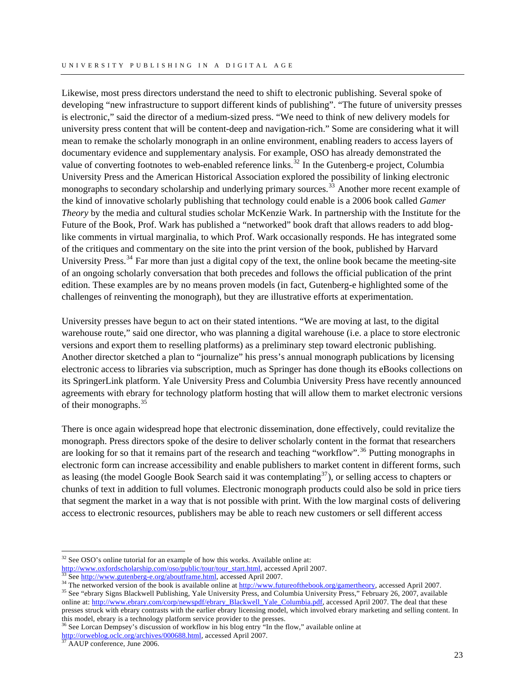Likewise, most press directors understand the need to shift to electronic publishing. Several spoke of developing "new infrastructure to support different kinds of publishing". "The future of university presses is electronic," said the director of a medium-sized press. "We need to think of new delivery models for university press content that will be content-deep and navigation-rich." Some are considering what it will mean to remake the scholarly monograph in an online environment, enabling readers to access layers of documentary evidence and supplementary analysis. For example, OSO has already demonstrated the value of converting footnotes to web-enabled reference links.<sup>[32](#page-24-0)</sup> In the Gutenberg-e project, Columbia University Press and the American Historical Association explored the possibility of linking electronic monographs to secondary scholarship and underlying primary sources.<sup>[33](#page-24-1)</sup> Another more recent example of the kind of innovative scholarly publishing that technology could enable is a 2006 book called *Gamer Theory* by the media and cultural studies scholar McKenzie Wark. In partnership with the Institute for the Future of the Book, Prof. Wark has published a "networked" book draft that allows readers to add bloglike comments in virtual marginalia, to which Prof. Wark occasionally responds. He has integrated some of the critiques and commentary on the site into the print version of the book, published by Harvard University Press.<sup>[34](#page-24-2)</sup> Far more than just a digital copy of the text, the online book became the meeting-site of an ongoing scholarly conversation that both precedes and follows the official publication of the print edition. These examples are by no means proven models (in fact, Gutenberg-e highlighted some of the challenges of reinventing the monograph), but they are illustrative efforts at experimentation.

University presses have begun to act on their stated intentions. "We are moving at last, to the digital warehouse route," said one director, who was planning a digital warehouse (i.e. a place to store electronic versions and export them to reselling platforms) as a preliminary step toward electronic publishing. Another director sketched a plan to "journalize" his press's annual monograph publications by licensing electronic access to libraries via subscription, much as Springer has done though its eBooks collections on its SpringerLink platform. Yale University Press and Columbia University Press have recently announced agreements with ebrary for technology platform hosting that will allow them to market electronic versions of their monographs.<sup>[35](#page-24-3)</sup>

There is once again widespread hope that electronic dissemination, done effectively, could revitalize the monograph. Press directors spoke of the desire to deliver scholarly content in the format that researchers are looking for so that it remains part of the research and teaching "workflow".<sup>[36](#page-24-4)</sup> Putting monographs in electronic form can increase accessibility and enable publishers to market content in different forms, such as leasing (the model Google Book Search said it was contemplating $37$ ), or selling access to chapters or chunks of text in addition to full volumes. Electronic monograph products could also be sold in price tiers that segment the market in a way that is not possible with print. With the low marginal costs of delivering access to electronic resources, publishers may be able to reach new customers or sell different access

<span id="page-24-4"></span> $36$  See Lorcan Dempsey's discussion of workflow in his blog entry "In the flow," available online at [http://orweblog.oclc.org/archives/000688.html,](http://orweblog.oclc.org/archives/000688.html) accessed April 2007.<br><sup>[37](http://orweblog.oclc.org/archives/000688.html)</sup> AAUP conference, June 2006.

 $\overline{a}$ 

<span id="page-24-0"></span><sup>&</sup>lt;sup>32</sup> See OSO's online tutorial for an example of how this works. Available online at:<br>
<u>http://www.oxfordscholarship.com/oso/public/tour/tour\_start.html</u>, accessed April 2007.

<span id="page-24-3"></span><span id="page-24-2"></span>

<span id="page-24-1"></span><sup>&</sup>lt;sup>33</sup> See <http://www.gutenberg-e.org/aboutframe.html>[, access](http://www.oxfordscholarship.com/oso/public/tour/tour_start.html)ed April 2007.<br><sup>34</sup> The networked version of the book is available online at [http://www.futureofthebook.org/gamertheory,](http://www.futureofthebook.org/gamertheory) accessed April 2007.<br><sup>35</sup> See "ebrary Sig online at: [http://www.ebrary.com/corp/newspdf/ebrary\\_Blackwell\\_Yale\\_Columbia.pdf](http://www.ebrary.com/corp/newspdf/ebrary_Blackwell_Yale_Columbia.pdf), accessed April 2007. The deal that these presses struck with ebrary contrasts with the earlier ebrary licensing model, which involved ebrary marketing and selling content. In this model, ebrary is a technology platform service provider to the presses.

<span id="page-24-5"></span>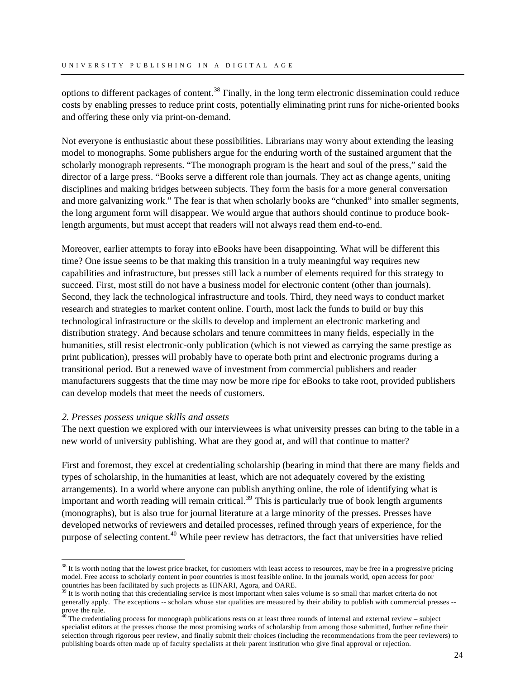options to different packages of content.<sup>[38](#page-25-0)</sup> Finally, in the long term electronic dissemination could reduce costs by enabling presses to reduce print costs, potentially eliminating print runs for niche-oriented books and offering these only via print-on-demand.

Not everyone is enthusiastic about these possibilities. Librarians may worry about extending the leasing model to monographs. Some publishers argue for the enduring worth of the sustained argument that the scholarly monograph represents. "The monograph program is the heart and soul of the press," said the director of a large press. "Books serve a different role than journals. They act as change agents, uniting disciplines and making bridges between subjects. They form the basis for a more general conversation and more galvanizing work." The fear is that when scholarly books are "chunked" into smaller segments, the long argument form will disappear. We would argue that authors should continue to produce booklength arguments, but must accept that readers will not always read them end-to-end.

Moreover, earlier attempts to foray into eBooks have been disappointing. What will be different this time? One issue seems to be that making this transition in a truly meaningful way requires new capabilities and infrastructure, but presses still lack a number of elements required for this strategy to succeed. First, most still do not have a business model for electronic content (other than journals). Second, they lack the technological infrastructure and tools. Third, they need ways to conduct market research and strategies to market content online. Fourth, most lack the funds to build or buy this technological infrastructure or the skills to develop and implement an electronic marketing and distribution strategy. And because scholars and tenure committees in many fields, especially in the humanities, still resist electronic-only publication (which is not viewed as carrying the same prestige as print publication), presses will probably have to operate both print and electronic programs during a transitional period. But a renewed wave of investment from commercial publishers and reader manufacturers suggests that the time may now be more ripe for eBooks to take root, provided publishers can develop models that meet the needs of customers.

# *2. Presses possess unique skills and assets*

 $\overline{a}$ 

The next question we explored with our interviewees is what university presses can bring to the table in a new world of university publishing. What are they good at, and will that continue to matter?

First and foremost, they excel at credentialing scholarship (bearing in mind that there are many fields and types of scholarship, in the humanities at least, which are not adequately covered by the existing arrangements). In a world where anyone can publish anything online, the role of identifying what is important and worth reading will remain critical.<sup>[39](#page-25-1)</sup> This is particularly true of book length arguments (monographs), but is also true for journal literature at a large minority of the presses. Presses have developed networks of reviewers and detailed processes, refined through years of experience, for the purpose of selecting content.<sup>[40](#page-25-2)</sup> While peer review has detractors, the fact that universities have relied

<span id="page-25-0"></span> $38$  It is worth noting that the lowest price bracket, for customers with least access to resources, may be free in a progressive pricing model. Free access to scholarly content in poor countries is most feasible online. In the journals world, open access for poor countries has been facilitated by such projects as HINARI, Agora, and OARE.

<span id="page-25-1"></span> $^{39}$  It is worth noting that this credentialing service is most important when sales volume is so small that market criteria do not generally apply. The exceptions -- scholars whose star qualities are measured by their ability to publish with commercial presses - prove the rule.

<span id="page-25-2"></span> $40$  The credentialing process for monograph publications rests on at least three rounds of internal and external review – subject specialist editors at the presses choose the most promising works of scholarship from among those submitted, further refine their selection through rigorous peer review, and finally submit their choices (including the recommendations from the peer reviewers) to publishing boards often made up of faculty specialists at their parent institution who give final approval or rejection.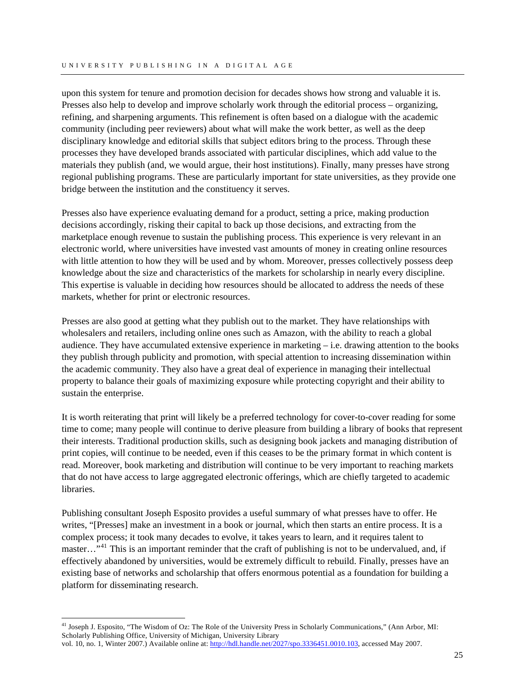upon this system for tenure and promotion decision for decades shows how strong and valuable it is. Presses also help to develop and improve scholarly work through the editorial process – organizing, refining, and sharpening arguments. This refinement is often based on a dialogue with the academic community (including peer reviewers) about what will make the work better, as well as the deep disciplinary knowledge and editorial skills that subject editors bring to the process. Through these processes they have developed brands associated with particular disciplines, which add value to the materials they publish (and, we would argue, their host institutions). Finally, many presses have strong regional publishing programs. These are particularly important for state universities, as they provide one bridge between the institution and the constituency it serves.

Presses also have experience evaluating demand for a product, setting a price, making production decisions accordingly, risking their capital to back up those decisions, and extracting from the marketplace enough revenue to sustain the publishing process. This experience is very relevant in an electronic world, where universities have invested vast amounts of money in creating online resources with little attention to how they will be used and by whom. Moreover, presses collectively possess deep knowledge about the size and characteristics of the markets for scholarship in nearly every discipline. This expertise is valuable in deciding how resources should be allocated to address the needs of these markets, whether for print or electronic resources.

Presses are also good at getting what they publish out to the market. They have relationships with wholesalers and retailers, including online ones such as Amazon, with the ability to reach a global audience. They have accumulated extensive experience in marketing – i.e. drawing attention to the books they publish through publicity and promotion, with special attention to increasing dissemination within the academic community. They also have a great deal of experience in managing their intellectual property to balance their goals of maximizing exposure while protecting copyright and their ability to sustain the enterprise.

It is worth reiterating that print will likely be a preferred technology for cover-to-cover reading for some time to come; many people will continue to derive pleasure from building a library of books that represent their interests. Traditional production skills, such as designing book jackets and managing distribution of print copies, will continue to be needed, even if this ceases to be the primary format in which content is read. Moreover, book marketing and distribution will continue to be very important to reaching markets that do not have access to large aggregated electronic offerings, which are chiefly targeted to academic libraries.

Publishing consultant Joseph Esposito provides a useful summary of what presses have to offer. He writes, "[Presses] make an investment in a book or journal, which then starts an entire process. It is a complex process; it took many decades to evolve, it takes years to learn, and it requires talent to master..."<sup>[41](#page-26-0)</sup> This is an important reminder that the craft of publishing is not to be undervalued, and, if effectively abandoned by universities, would be extremely difficult to rebuild. Finally, presses have an existing base of networks and scholarship that offers enormous potential as a foundation for building a platform for disseminating research.

 $\overline{a}$ 

<span id="page-26-0"></span><sup>&</sup>lt;sup>41</sup> Joseph J. Esposito, "The Wisdom of Oz: The Role of the University Press in Scholarly Communications," (Ann Arbor, MI: Scholarly Publishing Office, University of Michigan, University Library vol. 10, no. 1, Winter 2007.) Available online at: [http://hdl.handle.net/2027/spo.3336451.0010.103,](http://hdl.handle.net/2027/spo.3336451.0010.103) accessed May 2007.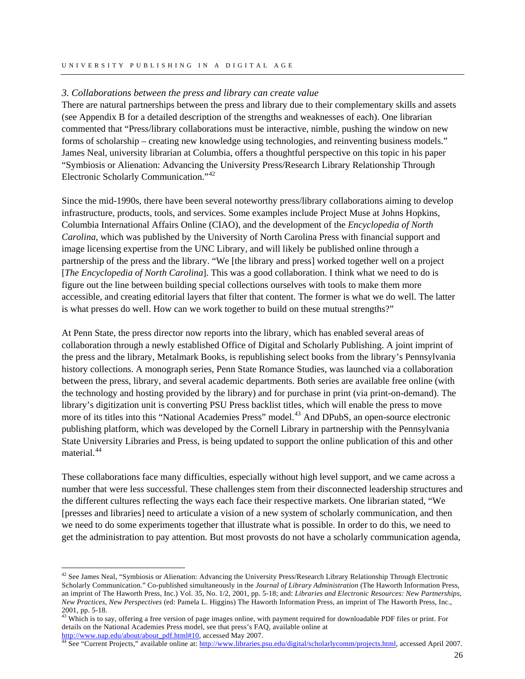#### *3. Collaborations between the press and library can create value*

There are natural partnerships between the press and library due to their complementary skills and assets (see Appendix B for a detailed description of the strengths and weaknesses of each). One librarian commented that "Press/library collaborations must be interactive, nimble, pushing the window on new forms of scholarship – creating new knowledge using technologies, and reinventing business models." James Neal, university librarian at Columbia, offers a thoughtful perspective on this topic in his paper "Symbiosis or Alienation: Advancing the University Press/Research Library Relationship Through Electronic Scholarly Communication."[42](#page-27-0)

Since the mid-1990s, there have been several noteworthy press/library collaborations aiming to develop infrastructure, products, tools, and services. Some examples include Project Muse at Johns Hopkins, Columbia International Affairs Online (CIAO), and the development of the *Encyclopedia of North Carolina*, which was published by the University of North Carolina Press with financial support and image licensing expertise from the UNC Library, and will likely be published online through a partnership of the press and the library. "We [the library and press] worked together well on a project [*The Encyclopedia of North Carolina*]. This was a good collaboration. I think what we need to do is figure out the line between building special collections ourselves with tools to make them more accessible, and creating editorial layers that filter that content. The former is what we do well. The latter is what presses do well. How can we work together to build on these mutual strengths?"

At Penn State, the press director now reports into the library, which has enabled several areas of collaboration through a newly established Office of Digital and Scholarly Publishing. A joint imprint of the press and the library, Metalmark Books, is republishing select books from the library's Pennsylvania history collections. A monograph series, Penn State Romance Studies, was launched via a collaboration between the press, library, and several academic departments. Both series are available free online (with the technology and hosting provided by the library) and for purchase in print (via print-on-demand). The library's digitization unit is converting PSU Press backlist titles, which will enable the press to move more of its titles into this "National Academies Press" model.<sup>[43](#page-27-1)</sup> And DPubS, an open-source electronic publishing platform, which was developed by the Cornell Library in partnership with the Pennsylvania State University Libraries and Press, is being updated to support the online publication of this and other material<sup>[44](#page-27-2)</sup>

These collaborations face many difficulties, especially without high level support, and we came across a number that were less successful. These challenges stem from their disconnected leadership structures and the different cultures reflecting the ways each face their respective markets. One librarian stated, "We [presses and libraries] need to articulate a vision of a new system of scholarly communication, and then we need to do some experiments together that illustrate what is possible. In order to do this, we need to get the administration to pay attention. But most provosts do not have a scholarly communication agenda,

 $\overline{a}$ 

<span id="page-27-1"></span><sup>43</sup> Which is to say, offering a free version of page images online, with payment required for downloadable PDF files or print. For details on the National Academies Press model, see that press's FAQ, available online at http://www.nap.edu/about/about\_pdf.html#10, accessed May 2007.

<span id="page-27-0"></span> $42$  See James Neal, "Symbiosis or Alienation: Advancing the University Press/Research Library Relationship Through Electronic Scholarly Communication." Co-published simultaneously in the *Journal of Library Administration* (The Haworth Information Press, an imprint of The Haworth Press, Inc.) Vol. 35, No. 1/2, 2001, pp. 5-18; and: *Libraries and Electronic Resources: New Partnerships, New Practices, New Perspectives* (ed: Pamela L. Higgins) The Haworth Information Press, an imprint of The Haworth Press, Inc., 2001, pp. 5-18.

<span id="page-27-2"></span><sup>&</sup>lt;sup>[44](http://www.nap.edu/about/about_pdf.html#10)</sup> See "Current Projects," available online at: [http://www.libraries.psu.edu/digital/scholarlycomm/projects.html,](http://www.libraries.psu.edu/digital/scholarlycomm/projects.html) accessed April 2007.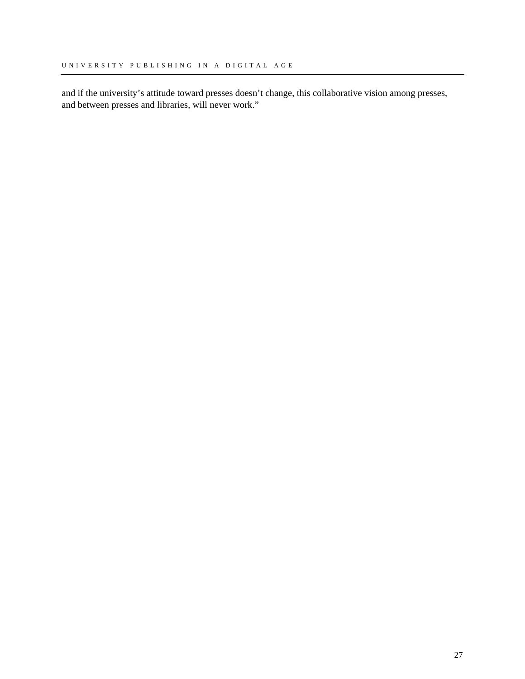and if the university's attitude toward presses doesn't change, this collaborative vision among presses, and between presses and libraries, will never work."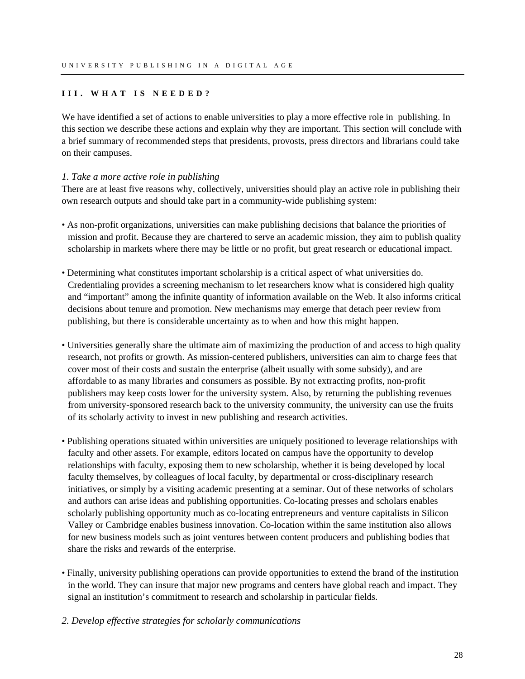# <span id="page-29-0"></span>**III. WHAT IS NEEDED?**

We have identified a set of actions to enable universities to play a more effective role in publishing. In this section we describe these actions and explain why they are important. This section will conclude with a brief summary of recommended steps that presidents, provosts, press directors and librarians could take on their campuses.

# *1. Take a more active role in publishing*

There are at least five reasons why, collectively, universities should play an active role in publishing their own research outputs and should take part in a community-wide publishing system:

- As non-profit organizations, universities can make publishing decisions that balance the priorities of mission and profit. Because they are chartered to serve an academic mission, they aim to publish quality scholarship in markets where there may be little or no profit, but great research or educational impact.
- Determining what constitutes important scholarship is a critical aspect of what universities do. Credentialing provides a screening mechanism to let researchers know what is considered high quality and "important" among the infinite quantity of information available on the Web. It also informs critical decisions about tenure and promotion. New mechanisms may emerge that detach peer review from publishing, but there is considerable uncertainty as to when and how this might happen.
- Universities generally share the ultimate aim of maximizing the production of and access to high quality research, not profits or growth. As mission-centered publishers, universities can aim to charge fees that cover most of their costs and sustain the enterprise (albeit usually with some subsidy), and are affordable to as many libraries and consumers as possible. By not extracting profits, non-profit publishers may keep costs lower for the university system. Also, by returning the publishing revenues from university-sponsored research back to the university community, the university can use the fruits of its scholarly activity to invest in new publishing and research activities.
- Publishing operations situated within universities are uniquely positioned to leverage relationships with faculty and other assets. For example, editors located on campus have the opportunity to develop relationships with faculty, exposing them to new scholarship, whether it is being developed by local faculty themselves, by colleagues of local faculty, by departmental or cross-disciplinary research initiatives, or simply by a visiting academic presenting at a seminar. Out of these networks of scholars and authors can arise ideas and publishing opportunities. Co-locating presses and scholars enables scholarly publishing opportunity much as co-locating entrepreneurs and venture capitalists in Silicon Valley or Cambridge enables business innovation. Co-location within the same institution also allows for new business models such as joint ventures between content producers and publishing bodies that share the risks and rewards of the enterprise.
- Finally, university publishing operations can provide opportunities to extend the brand of the institution in the world. They can insure that major new programs and centers have global reach and impact. They signal an institution's commitment to research and scholarship in particular fields.
- *2. Develop effective strategies for scholarly communications*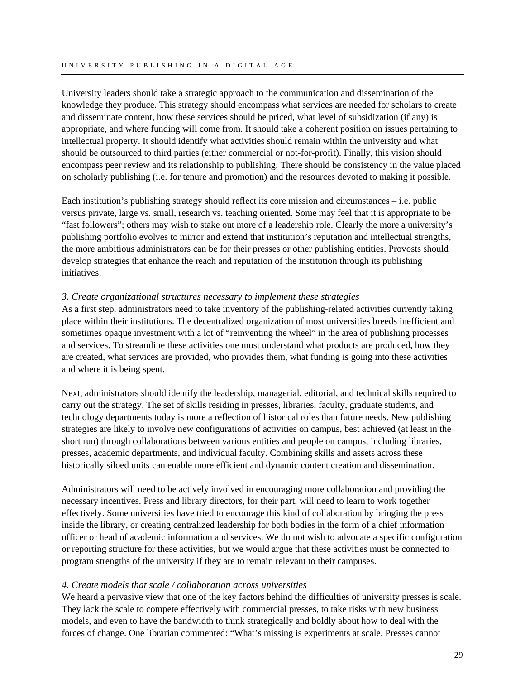University leaders should take a strategic approach to the communication and dissemination of the knowledge they produce. This strategy should encompass what services are needed for scholars to create and disseminate content, how these services should be priced, what level of subsidization (if any) is appropriate, and where funding will come from. It should take a coherent position on issues pertaining to intellectual property. It should identify what activities should remain within the university and what should be outsourced to third parties (either commercial or not-for-profit). Finally, this vision should encompass peer review and its relationship to publishing. There should be consistency in the value placed on scholarly publishing (i.e. for tenure and promotion) and the resources devoted to making it possible.

Each institution's publishing strategy should reflect its core mission and circumstances  $-$  i.e. public versus private, large vs. small, research vs. teaching oriented. Some may feel that it is appropriate to be "fast followers"; others may wish to stake out more of a leadership role. Clearly the more a university's publishing portfolio evolves to mirror and extend that institution's reputation and intellectual strengths, the more ambitious administrators can be for their presses or other publishing entities. Provosts should develop strategies that enhance the reach and reputation of the institution through its publishing initiatives.

# *3. Create organizational structures necessary to implement these strategies*

As a first step, administrators need to take inventory of the publishing-related activities currently taking place within their institutions. The decentralized organization of most universities breeds inefficient and sometimes opaque investment with a lot of "reinventing the wheel" in the area of publishing processes and services. To streamline these activities one must understand what products are produced, how they are created, what services are provided, who provides them, what funding is going into these activities and where it is being spent.

Next, administrators should identify the leadership, managerial, editorial, and technical skills required to carry out the strategy. The set of skills residing in presses, libraries, faculty, graduate students, and technology departments today is more a reflection of historical roles than future needs. New publishing strategies are likely to involve new configurations of activities on campus, best achieved (at least in the short run) through collaborations between various entities and people on campus, including libraries, presses, academic departments, and individual faculty. Combining skills and assets across these historically siloed units can enable more efficient and dynamic content creation and dissemination.

Administrators will need to be actively involved in encouraging more collaboration and providing the necessary incentives. Press and library directors, for their part, will need to learn to work together effectively. Some universities have tried to encourage this kind of collaboration by bringing the press inside the library, or creating centralized leadership for both bodies in the form of a chief information officer or head of academic information and services. We do not wish to advocate a specific configuration or reporting structure for these activities, but we would argue that these activities must be connected to program strengths of the university if they are to remain relevant to their campuses.

# *4. Create models that scale / collaboration across universities*

We heard a pervasive view that one of the key factors behind the difficulties of university presses is scale. They lack the scale to compete effectively with commercial presses, to take risks with new business models, and even to have the bandwidth to think strategically and boldly about how to deal with the forces of change. One librarian commented: "What's missing is experiments at scale. Presses cannot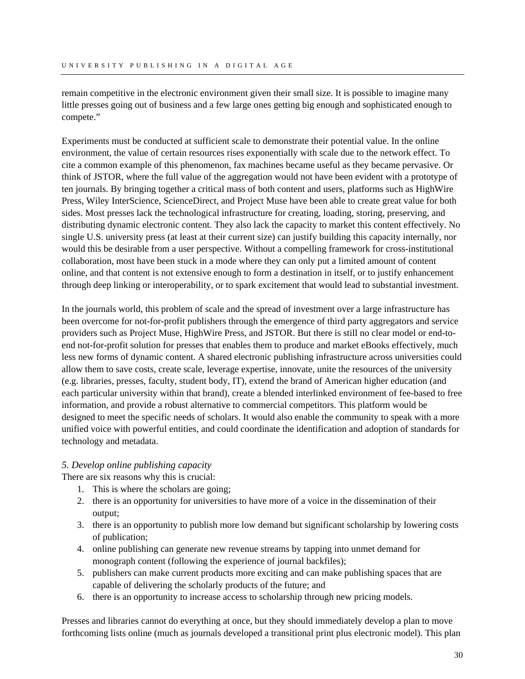remain competitive in the electronic environment given their small size. It is possible to imagine many little presses going out of business and a few large ones getting big enough and sophisticated enough to compete."

Experiments must be conducted at sufficient scale to demonstrate their potential value. In the online environment, the value of certain resources rises exponentially with scale due to the network effect. To cite a common example of this phenomenon, fax machines became useful as they became pervasive. Or think of JSTOR, where the full value of the aggregation would not have been evident with a prototype of ten journals. By bringing together a critical mass of both content and users, platforms such as HighWire Press, Wiley InterScience, ScienceDirect, and Project Muse have been able to create great value for both sides. Most presses lack the technological infrastructure for creating, loading, storing, preserving, and distributing dynamic electronic content. They also lack the capacity to market this content effectively. No single U.S. university press (at least at their current size) can justify building this capacity internally, nor would this be desirable from a user perspective. Without a compelling framework for cross-institutional collaboration, most have been stuck in a mode where they can only put a limited amount of content online, and that content is not extensive enough to form a destination in itself, or to justify enhancement through deep linking or interoperability, or to spark excitement that would lead to substantial investment.

In the journals world, this problem of scale and the spread of investment over a large infrastructure has been overcome for not-for-profit publishers through the emergence of third party aggregators and service providers such as Project Muse, HighWire Press, and JSTOR. But there is still no clear model or end-toend not-for-profit solution for presses that enables them to produce and market eBooks effectively, much less new forms of dynamic content. A shared electronic publishing infrastructure across universities could allow them to save costs, create scale, leverage expertise, innovate, unite the resources of the university (e.g. libraries, presses, faculty, student body, IT), extend the brand of American higher education (and each particular university within that brand), create a blended interlinked environment of fee-based to free information, and provide a robust alternative to commercial competitors. This platform would be designed to meet the specific needs of scholars. It would also enable the community to speak with a more unified voice with powerful entities, and could coordinate the identification and adoption of standards for technology and metadata.

# *5. Develop online publishing capacity*

There are six reasons why this is crucial:

- 1. This is where the scholars are going;
- 2. there is an opportunity for universities to have more of a voice in the dissemination of their output;
- 3. there is an opportunity to publish more low demand but significant scholarship by lowering costs of publication;
- 4. online publishing can generate new revenue streams by tapping into unmet demand for monograph content (following the experience of journal backfiles);
- 5. publishers can make current products more exciting and can make publishing spaces that are capable of delivering the scholarly products of the future; and
- 6. there is an opportunity to increase access to scholarship through new pricing models.

Presses and libraries cannot do everything at once, but they should immediately develop a plan to move forthcoming lists online (much as journals developed a transitional print plus electronic model). This plan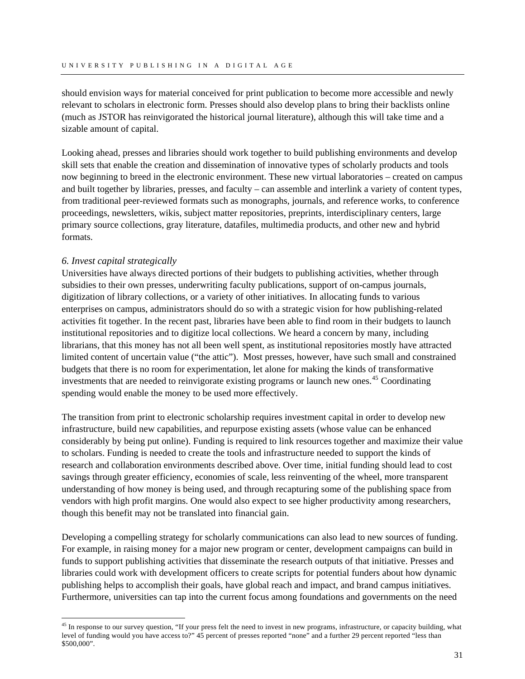should envision ways for material conceived for print publication to become more accessible and newly relevant to scholars in electronic form. Presses should also develop plans to bring their backlists online (much as JSTOR has reinvigorated the historical journal literature), although this will take time and a sizable amount of capital.

Looking ahead, presses and libraries should work together to build publishing environments and develop skill sets that enable the creation and dissemination of innovative types of scholarly products and tools now beginning to breed in the electronic environment. These new virtual laboratories – created on campus and built together by libraries, presses, and faculty – can assemble and interlink a variety of content types, from traditional peer-reviewed formats such as monographs, journals, and reference works, to conference proceedings, newsletters, wikis, subject matter repositories, preprints, interdisciplinary centers, large primary source collections, gray literature, datafiles, multimedia products, and other new and hybrid formats.

# *6. Invest capital strategically*

 $\overline{a}$ 

Universities have always directed portions of their budgets to publishing activities, whether through subsidies to their own presses, underwriting faculty publications, support of on-campus journals, digitization of library collections, or a variety of other initiatives. In allocating funds to various enterprises on campus, administrators should do so with a strategic vision for how publishing-related activities fit together. In the recent past, libraries have been able to find room in their budgets to launch institutional repositories and to digitize local collections. We heard a concern by many, including librarians, that this money has not all been well spent, as institutional repositories mostly have attracted limited content of uncertain value ("the attic"). Most presses, however, have such small and constrained budgets that there is no room for experimentation, let alone for making the kinds of transformative investments that are needed to reinvigorate existing programs or launch new ones.<sup>[45](#page-32-0)</sup> Coordinating spending would enable the money to be used more effectively.

The transition from print to electronic scholarship requires investment capital in order to develop new infrastructure, build new capabilities, and repurpose existing assets (whose value can be enhanced considerably by being put online). Funding is required to link resources together and maximize their value to scholars. Funding is needed to create the tools and infrastructure needed to support the kinds of research and collaboration environments described above. Over time, initial funding should lead to cost savings through greater efficiency, economies of scale, less reinventing of the wheel, more transparent understanding of how money is being used, and through recapturing some of the publishing space from vendors with high profit margins. One would also expect to see higher productivity among researchers, though this benefit may not be translated into financial gain.

Developing a compelling strategy for scholarly communications can also lead to new sources of funding. For example, in raising money for a major new program or center, development campaigns can build in funds to support publishing activities that disseminate the research outputs of that initiative. Presses and libraries could work with development officers to create scripts for potential funders about how dynamic publishing helps to accomplish their goals, have global reach and impact, and brand campus initiatives. Furthermore, universities can tap into the current focus among foundations and governments on the need

<span id="page-32-0"></span><sup>&</sup>lt;sup>45</sup> In response to our survey question, "If your press felt the need to invest in new programs, infrastructure, or capacity building, what level of funding would you have access to?" 45 percent of presses reported "none" and a further 29 percent reported "less than \$500,000".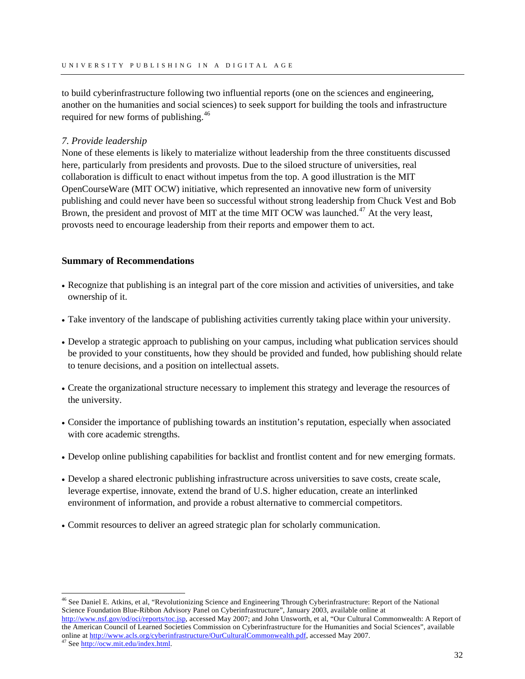to build cyberinfrastructure following two influential reports (one on the sciences and engineering, another on the humanities and social sciences) to seek support for building the tools and infrastructure required for new forms of publishing.<sup>[46](#page-33-0)</sup>

# *7. Provide leadership*

None of these elements is likely to materialize without leadership from the three constituents discussed here, particularly from presidents and provosts. Due to the siloed structure of universities, real collaboration is difficult to enact without impetus from the top. A good illustration is the MIT OpenCourseWare (MIT OCW) initiative, which represented an innovative new form of university publishing and could never have been so successful without strong leadership from Chuck Vest and Bob Brown, the president and provost of MIT at the time MIT OCW was launched.<sup>[47](#page-33-1)</sup> At the very least, provosts need to encourage leadership from their reports and empower them to act.

# **Summary of Recommendations**

- Recognize that publishing is an integral part of the core mission and activities of universities, and take ownership of it.
- Take inventory of the landscape of publishing activities currently taking place within your university.
- Develop a strategic approach to publishing on your campus, including what publication services should be provided to your constituents, how they should be provided and funded, how publishing should relate to tenure decisions, and a position on intellectual assets.
- Create the organizational structure necessary to implement this strategy and leverage the resources of the university.
- Consider the importance of publishing towards an institution's reputation, especially when associated with core academic strengths.
- Develop online publishing capabilities for backlist and frontlist content and for new emerging formats.
- Develop a shared electronic publishing infrastructure across universities to save costs, create scale, leverage expertise, innovate, extend the brand of U.S. higher education, create an interlinked environment of information, and provide a robust alternative to commercial competitors.
- Commit resources to deliver an agreed strategic plan for scholarly communication.

 $\overline{a}$ 

<span id="page-33-0"></span><sup>46</sup> See Daniel E. Atkins, et al, "Revolutionizing Science and Engineering Through Cyberinfrastructure: Report of the National Science Foundation Blue-Ribbon Advisory Panel on Cyberinfrastructure", January 2003, available online at [http://www.nsf.gov/od/oci/reports/toc.jsp,](http://www.nsf.gov/od/oci/reports/toc.jsp) accessed May 2007; and John Unsworth, et al, "Our Cultural Commonwealth: A Report of the American Council of Learned Societies Commission on Cyberinfrastructure for the Humanities and Social Sciences", available online [at](http://ocw.mit.edu/index.html) <http://www.acls.org/cyberinfrastructure/OurCulturalCommonwealth.pdf>, accessed May 2007.<br><sup>47</sup> See [http://ocw.mit.edu/index.html.](http://ocw.mit.edu/index.html)

<span id="page-33-1"></span>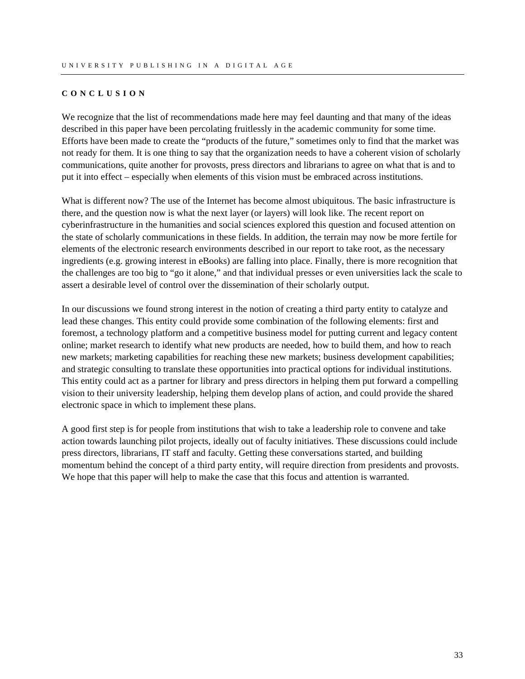#### <span id="page-34-0"></span>**CONCLUSION**

We recognize that the list of recommendations made here may feel daunting and that many of the ideas described in this paper have been percolating fruitlessly in the academic community for some time. Efforts have been made to create the "products of the future," sometimes only to find that the market was not ready for them. It is one thing to say that the organization needs to have a coherent vision of scholarly communications, quite another for provosts, press directors and librarians to agree on what that is and to put it into effect – especially when elements of this vision must be embraced across institutions.

What is different now? The use of the Internet has become almost ubiquitous. The basic infrastructure is there, and the question now is what the next layer (or layers) will look like. The recent report on cyberinfrastructure in the humanities and social sciences explored this question and focused attention on the state of scholarly communications in these fields. In addition, the terrain may now be more fertile for elements of the electronic research environments described in our report to take root, as the necessary ingredients (e.g. growing interest in eBooks) are falling into place. Finally, there is more recognition that the challenges are too big to "go it alone," and that individual presses or even universities lack the scale to assert a desirable level of control over the dissemination of their scholarly output.

In our discussions we found strong interest in the notion of creating a third party entity to catalyze and lead these changes. This entity could provide some combination of the following elements: first and foremost, a technology platform and a competitive business model for putting current and legacy content online; market research to identify what new products are needed, how to build them, and how to reach new markets; marketing capabilities for reaching these new markets; business development capabilities; and strategic consulting to translate these opportunities into practical options for individual institutions. This entity could act as a partner for library and press directors in helping them put forward a compelling vision to their university leadership, helping them develop plans of action, and could provide the shared electronic space in which to implement these plans.

A good first step is for people from institutions that wish to take a leadership role to convene and take action towards launching pilot projects, ideally out of faculty initiatives. These discussions could include press directors, librarians, IT staff and faculty. Getting these conversations started, and building momentum behind the concept of a third party entity, will require direction from presidents and provosts. We hope that this paper will help to make the case that this focus and attention is warranted.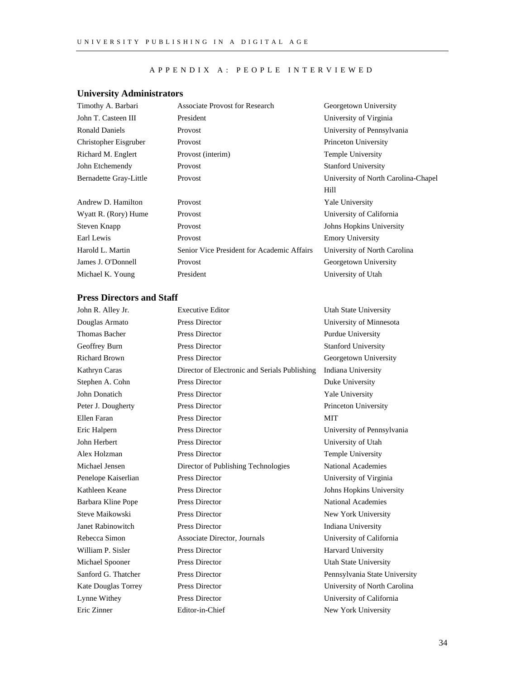#### APPENDIX A: PEOPLE INTERVIEWED

# <span id="page-35-0"></span>**University Administrators**

| <b>Associate Provost for Research</b>      | Georgetown University               |
|--------------------------------------------|-------------------------------------|
| President                                  | University of Virginia              |
| <b>Provost</b>                             | University of Pennsylvania          |
| Provost                                    | Princeton University                |
| Provost (interim)                          | Temple University                   |
| Provost                                    | <b>Stanford University</b>          |
| Provost                                    | University of North Carolina-Chapel |
|                                            | Hill                                |
| Provost                                    | <b>Yale University</b>              |
| Provost                                    | University of California            |
| Provost                                    | Johns Hopkins University            |
| Provost                                    | <b>Emory University</b>             |
| Senior Vice President for Academic Affairs | University of North Carolina        |
| Provost                                    | Georgetown University               |
| President                                  | University of Utah                  |
|                                            |                                     |

# **Press Directors and Staff**

| John R. Alley Jr.    | <b>Executive Editor</b>                       | <b>Utah State University</b>  |
|----------------------|-----------------------------------------------|-------------------------------|
| Douglas Armato       | Press Director                                | University of Minnesota       |
| <b>Thomas Bacher</b> | Press Director                                | Purdue University             |
| Geoffrey Burn        | Press Director                                | <b>Stanford University</b>    |
| <b>Richard Brown</b> | <b>Press Director</b>                         | Georgetown University         |
| Kathryn Caras        | Director of Electronic and Serials Publishing | Indiana University            |
| Stephen A. Cohn      | <b>Press Director</b>                         | Duke University               |
| John Donatich        | Press Director                                | Yale University               |
| Peter J. Dougherty   | Press Director                                | Princeton University          |
| Ellen Faran          | <b>Press Director</b>                         | <b>MIT</b>                    |
| Eric Halpern         | Press Director                                | University of Pennsylvania    |
| John Herbert         | Press Director                                | University of Utah            |
| Alex Holzman         | Press Director                                | Temple University             |
| Michael Jensen       | Director of Publishing Technologies           | <b>National Academies</b>     |
| Penelope Kaiserlian  | Press Director                                | University of Virginia        |
| Kathleen Keane       | Press Director                                | Johns Hopkins University      |
| Barbara Kline Pope   | <b>Press Director</b>                         | National Academies            |
| Steve Maikowski      | Press Director                                | New York University           |
| Janet Rabinowitch    | <b>Press Director</b>                         | Indiana University            |
| Rebecca Simon        | Associate Director, Journals                  | University of California      |
| William P. Sisler    | Press Director                                | <b>Harvard University</b>     |
| Michael Spooner      | Press Director                                | <b>Utah State University</b>  |
| Sanford G. Thatcher  | Press Director                                | Pennsylvania State University |
| Kate Douglas Torrey  | Press Director                                | University of North Carolina  |
| Lynne Withey         | Press Director                                | University of California      |
| Eric Zinner          | Editor-in-Chief                               | New York University           |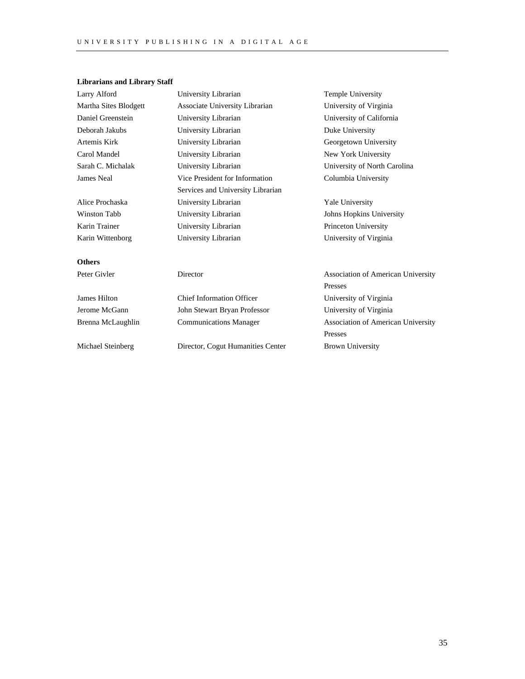# **Librarians and Library Staff**

| Larry Alford          | University Librarian              | Temple University                         |
|-----------------------|-----------------------------------|-------------------------------------------|
| Martha Sites Blodgett | Associate University Librarian    | University of Virginia                    |
| Daniel Greenstein     | University Librarian              | University of California                  |
| Deborah Jakubs        | University Librarian              | Duke University                           |
| Artemis Kirk          | University Librarian              | Georgetown University                     |
| Carol Mandel          | University Librarian              | New York University                       |
| Sarah C. Michalak     | University Librarian              | University of North Carolina              |
| James Neal            | Vice President for Information    | Columbia University                       |
|                       | Services and University Librarian |                                           |
| Alice Prochaska       | University Librarian              | Yale University                           |
| Winston Tabb          | University Librarian              | Johns Hopkins University                  |
| Karin Trainer         | University Librarian              | Princeton University                      |
| Karin Wittenborg      | University Librarian              | University of Virginia                    |
| <b>Others</b>         |                                   |                                           |
| Peter Givler          | Director                          | Association of American University        |
|                       |                                   | Presses                                   |
| James Hilton          | <b>Chief Information Officer</b>  | University of Virginia                    |
| Jerome McGann         | John Stewart Bryan Professor      | University of Virginia                    |
| Brenna McLaughlin     | <b>Communications Manager</b>     | <b>Association of American University</b> |
|                       |                                   | Presses                                   |
| Michael Steinberg     | Director, Cogut Humanities Center | <b>Brown University</b>                   |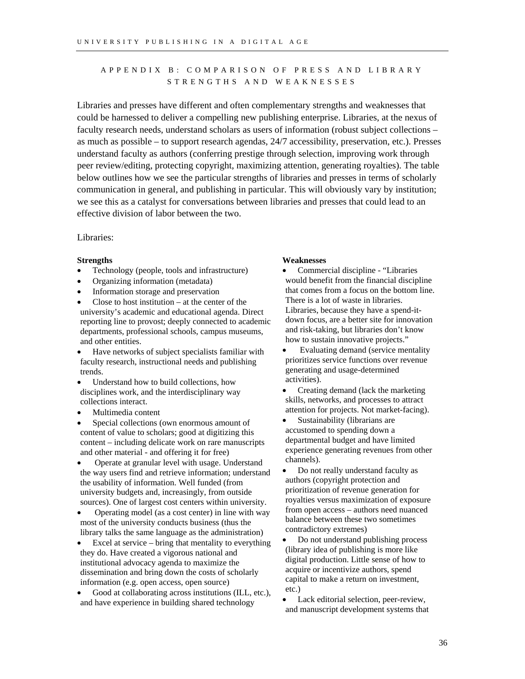# <span id="page-37-0"></span>APPENDIX B: COMPARISON OF PRESS AND LIBRARY STRENGTHS AND WEAKNESSES

Libraries and presses have different and often complementary strengths and weaknesses that could be harnessed to deliver a compelling new publishing enterprise. Libraries, at the nexus of faculty research needs, understand scholars as users of information (robust subject collections – as much as possible – to support research agendas, 24/7 accessibility, preservation, etc.). Presses understand faculty as authors (conferring prestige through selection, improving work through peer review/editing, protecting copyright, maximizing attention, generating royalties). The table below outlines how we see the particular strengths of libraries and presses in terms of scholarly communication in general, and publishing in particular. This will obviously vary by institution; we see this as a catalyst for conversations between libraries and presses that could lead to an effective division of labor between the two.

### Libraries:

- Technology (people, tools and infrastructure)
- Organizing information (metadata)
- Information storage and preservation
- Close to host institution  $-$  at the center of the university's academic and educational agenda. Direct reporting line to provost; deeply connected to academic departments, professional schools, campus museums, and other entities.
- Have networks of subject specialists familiar with faculty research, instructional needs and publishing trends.
- Understand how to build collections, how disciplines work, and the interdisciplinary way collections interact.
- Multimedia content
- Special collections (own enormous amount of content of value to scholars; good at digitizing this content – including delicate work on rare manuscripts and other material - and offering it for free)
- Operate at granular level with usage. Understand the way users find and retrieve information; understand the usability of information. Well funded (from university budgets and, increasingly, from outside sources). One of largest cost centers within university.
- Operating model (as a cost center) in line with way most of the university conducts business (thus the library talks the same language as the administration)
- Excel at service  $-$  bring that mentality to everything they do. Have created a vigorous national and institutional advocacy agenda to maximize the dissemination and bring down the costs of scholarly information (e.g. open access, open source)
- Good at collaborating across institutions (ILL, etc.), and have experience in building shared technology

#### **Strengths Weaknesses**

• Commercial discipline - "Libraries would benefit from the financial discipline that comes from a focus on the bottom line. There is a lot of waste in libraries. Libraries, because they have a spend-itdown focus, are a better site for innovation and risk-taking, but libraries don't know how to sustain innovative projects."

- Evaluating demand (service mentality prioritizes service functions over revenue generating and usage-determined activities).
- Creating demand (lack the marketing skills, networks, and processes to attract attention for projects. Not market-facing).
- Sustainability (librarians are accustomed to spending down a departmental budget and have limited experience generating revenues from other channels).
- Do not really understand faculty as authors (copyright protection and prioritization of revenue generation for royalties versus maximization of exposure from open access – authors need nuanced balance between these two sometimes contradictory extremes)
- Do not understand publishing process (library idea of publishing is more like digital production. Little sense of how to acquire or incentivize authors, spend capital to make a return on investment, etc.)
- Lack editorial selection, peer-review, and manuscript development systems that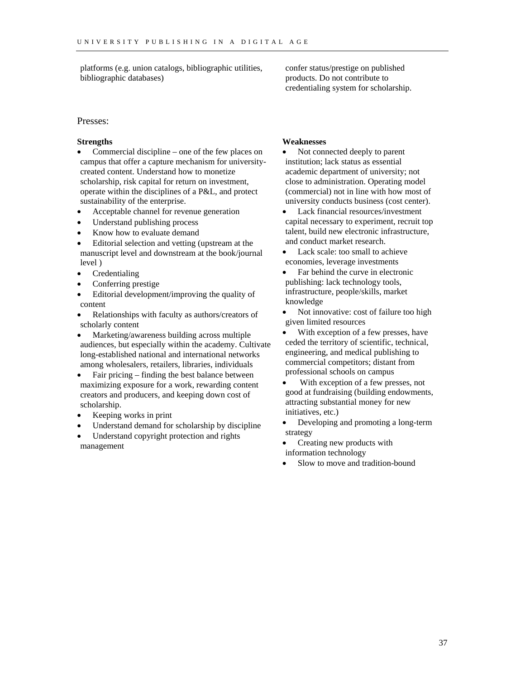platforms (e.g. union catalogs, bibliographic utilities, bibliographic databases)

confer status/prestige on published products. Do not contribute to credentialing system for scholarship.

#### Presses:

- Commercial discipline one of the few places on campus that offer a capture mechanism for universitycreated content. Understand how to monetize scholarship, risk capital for return on investment, operate within the disciplines of a P&L, and protect sustainability of the enterprise.
- Acceptable channel for revenue generation
- Understand publishing process
- Know how to evaluate demand
- Editorial selection and vetting (upstream at the manuscript level and downstream at the book/journal level )
- **Credentialing**
- Conferring prestige
- Editorial development/improving the quality of content
- Relationships with faculty as authors/creators of scholarly content
- Marketing/awareness building across multiple audiences, but especially within the academy. Cultivate long-established national and international networks among wholesalers, retailers, libraries, individuals
- Fair pricing finding the best balance between maximizing exposure for a work, rewarding content creators and producers, and keeping down cost of scholarship.
- Keeping works in print
- Understand demand for scholarship by discipline
- Understand copyright protection and rights management

#### **Strengths Weaknesses**

- Not connected deeply to parent institution; lack status as essential academic department of university; not close to administration. Operating model (commercial) not in line with how most of university conducts business (cost center).
- Lack financial resources/investment capital necessary to experiment, recruit top talent, build new electronic infrastructure, and conduct market research.
- Lack scale: too small to achieve economies, leverage investments
- Far behind the curve in electronic publishing: lack technology tools, infrastructure, people/skills, market knowledge
- Not innovative: cost of failure too high given limited resources
- With exception of a few presses, have ceded the territory of scientific, technical, engineering, and medical publishing to commercial competitors; distant from professional schools on campus
- With exception of a few presses, not good at fundraising (building endowments, attracting substantial money for new initiatives, etc.)
- Developing and promoting a long-term strategy
- Creating new products with information technology
- Slow to move and tradition-bound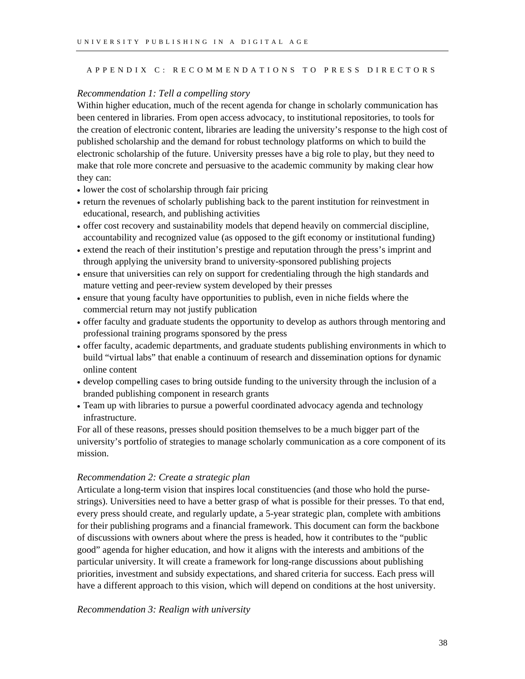# <span id="page-39-0"></span>APPENDIX C: RECOMMENDATIONS TO PRESS DIRECTORS

### *Recommendation 1: Tell a compelling story*

Within higher education, much of the recent agenda for change in scholarly communication has been centered in libraries. From open access advocacy, to institutional repositories, to tools for the creation of electronic content, libraries are leading the university's response to the high cost of published scholarship and the demand for robust technology platforms on which to build the electronic scholarship of the future. University presses have a big role to play, but they need to make that role more concrete and persuasive to the academic community by making clear how they can:

- lower the cost of scholarship through fair pricing
- return the revenues of scholarly publishing back to the parent institution for reinvestment in educational, research, and publishing activities
- offer cost recovery and sustainability models that depend heavily on commercial discipline, accountability and recognized value (as opposed to the gift economy or institutional funding)
- extend the reach of their institution's prestige and reputation through the press's imprint and through applying the university brand to university-sponsored publishing projects
- ensure that universities can rely on support for credentialing through the high standards and mature vetting and peer-review system developed by their presses
- ensure that young faculty have opportunities to publish, even in niche fields where the commercial return may not justify publication
- offer faculty and graduate students the opportunity to develop as authors through mentoring and professional training programs sponsored by the press
- offer faculty, academic departments, and graduate students publishing environments in which to build "virtual labs" that enable a continuum of research and dissemination options for dynamic online content
- develop compelling cases to bring outside funding to the university through the inclusion of a branded publishing component in research grants
- Team up with libraries to pursue a powerful coordinated advocacy agenda and technology infrastructure.

For all of these reasons, presses should position themselves to be a much bigger part of the university's portfolio of strategies to manage scholarly communication as a core component of its mission.

#### *Recommendation 2: Create a strategic plan*

Articulate a long-term vision that inspires local constituencies (and those who hold the pursestrings). Universities need to have a better grasp of what is possible for their presses. To that end, every press should create, and regularly update, a 5-year strategic plan, complete with ambitions for their publishing programs and a financial framework. This document can form the backbone of discussions with owners about where the press is headed, how it contributes to the "public good" agenda for higher education, and how it aligns with the interests and ambitions of the particular university. It will create a framework for long-range discussions about publishing priorities, investment and subsidy expectations, and shared criteria for success. Each press will have a different approach to this vision, which will depend on conditions at the host university.

# *Recommendation 3: Realign with university*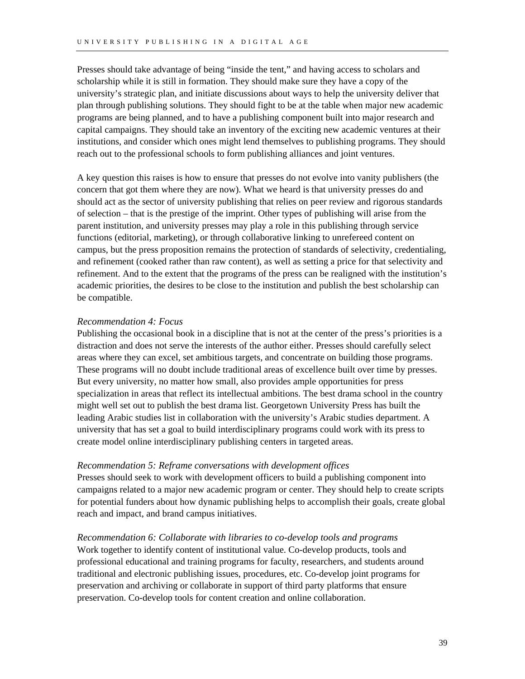Presses should take advantage of being "inside the tent," and having access to scholars and scholarship while it is still in formation. They should make sure they have a copy of the university's strategic plan, and initiate discussions about ways to help the university deliver that plan through publishing solutions. They should fight to be at the table when major new academic programs are being planned, and to have a publishing component built into major research and capital campaigns. They should take an inventory of the exciting new academic ventures at their institutions, and consider which ones might lend themselves to publishing programs. They should reach out to the professional schools to form publishing alliances and joint ventures.

A key question this raises is how to ensure that presses do not evolve into vanity publishers (the concern that got them where they are now). What we heard is that university presses do and should act as the sector of university publishing that relies on peer review and rigorous standards of selection – that is the prestige of the imprint. Other types of publishing will arise from the parent institution, and university presses may play a role in this publishing through service functions (editorial, marketing), or through collaborative linking to unrefereed content on campus, but the press proposition remains the protection of standards of selectivity, credentialing, and refinement (cooked rather than raw content), as well as setting a price for that selectivity and refinement. And to the extent that the programs of the press can be realigned with the institution's academic priorities, the desires to be close to the institution and publish the best scholarship can be compatible.

### *Recommendation 4: Focus*

Publishing the occasional book in a discipline that is not at the center of the press's priorities is a distraction and does not serve the interests of the author either. Presses should carefully select areas where they can excel, set ambitious targets, and concentrate on building those programs. These programs will no doubt include traditional areas of excellence built over time by presses. But every university, no matter how small, also provides ample opportunities for press specialization in areas that reflect its intellectual ambitions. The best drama school in the country might well set out to publish the best drama list. Georgetown University Press has built the leading Arabic studies list in collaboration with the university's Arabic studies department. A university that has set a goal to build interdisciplinary programs could work with its press to create model online interdisciplinary publishing centers in targeted areas.

### *Recommendation 5: Reframe conversations with development offices*

Presses should seek to work with development officers to build a publishing component into campaigns related to a major new academic program or center. They should help to create scripts for potential funders about how dynamic publishing helps to accomplish their goals, create global reach and impact, and brand campus initiatives.

*Recommendation 6: Collaborate with libraries to co-develop tools and programs*  Work together to identify content of institutional value. Co-develop products, tools and professional educational and training programs for faculty, researchers, and students around traditional and electronic publishing issues, procedures, etc. Co-develop joint programs for preservation and archiving or collaborate in support of third party platforms that ensure preservation. Co-develop tools for content creation and online collaboration.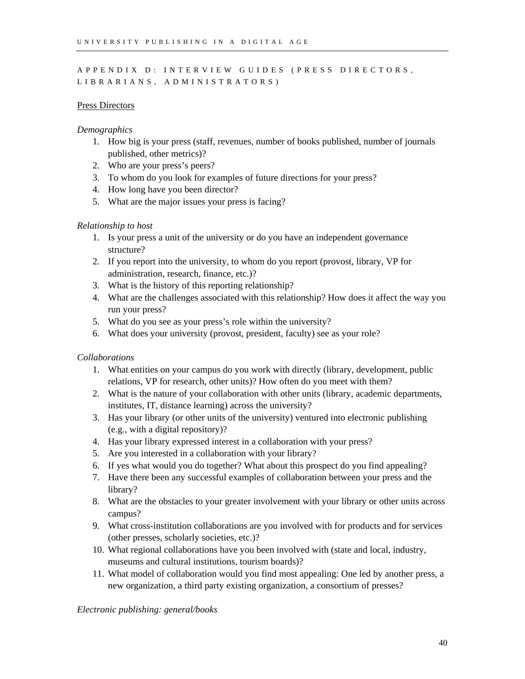# <span id="page-41-0"></span>APPENDIX D: INTERVIEW GUIDES (PRESS DIRECTORS, LIBRARIANS, ADMINISTRATORS)

### Press Directors

# *Demographics*

- 1. How big is your press (staff, revenues, number of books published, number of journals published, other metrics)?
- 2. Who are your press's peers?
- 3. To whom do you look for examples of future directions for your press?
- 4. How long have you been director?
- 5. What are the major issues your press is facing?

### *Relationship to host*

- 1. Is your press a unit of the university or do you have an independent governance structure?
- 2. If you report into the university, to whom do you report (provost, library, VP for administration, research, finance, etc.)?
- 3. What is the history of this reporting relationship?
- 4. What are the challenges associated with this relationship? How does it affect the way you run your press?
- 5. What do you see as your press's role within the university?
- 6. What does your university (provost, president, faculty) see as your role?

### *Collaborations*

- 1. What entities on your campus do you work with directly (library, development, public relations, VP for research, other units)? How often do you meet with them?
- 2. What is the nature of your collaboration with other units (library, academic departments, institutes, IT, distance learning) across the university?
- 3. Has your library (or other units of the university) ventured into electronic publishing (e.g., with a digital repository)?
- 4. Has your library expressed interest in a collaboration with your press?
- 5. Are you interested in a collaboration with your library?
- 6. If yes what would you do together? What about this prospect do you find appealing?
- 7. Have there been any successful examples of collaboration between your press and the library?
- 8. What are the obstacles to your greater involvement with your library or other units across campus?
- 9. What cross-institution collaborations are you involved with for products and for services (other presses, scholarly societies, etc.)?
- 10. What regional collaborations have you been involved with (state and local, industry, museums and cultural institutions, tourism boards)?
- 11. What model of collaboration would you find most appealing: One led by another press, a new organization, a third party existing organization, a consortium of presses?

*Electronic publishing: general/books*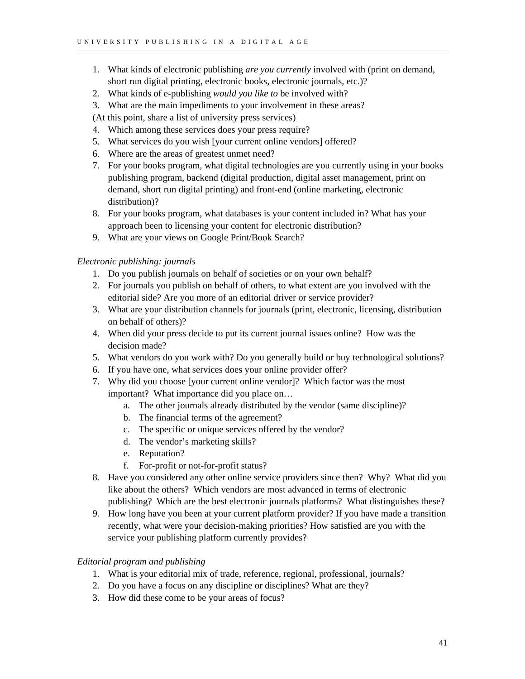- 1. What kinds of electronic publishing *are you currently* involved with (print on demand, short run digital printing, electronic books, electronic journals, etc.)?
- 2. What kinds of e-publishing *would you like to* be involved with?
- 3. What are the main impediments to your involvement in these areas?

(At this point, share a list of university press services)

- 4. Which among these services does your press require?
- 5. What services do you wish [your current online vendors] offered?
- 6. Where are the areas of greatest unmet need?
- 7. For your books program, what digital technologies are you currently using in your books publishing program, backend (digital production, digital asset management, print on demand, short run digital printing) and front-end (online marketing, electronic distribution)?
- 8. For your books program, what databases is your content included in? What has your approach been to licensing your content for electronic distribution?
- 9. What are your views on Google Print/Book Search?

# *Electronic publishing: journals*

- 1. Do you publish journals on behalf of societies or on your own behalf?
- 2. For journals you publish on behalf of others, to what extent are you involved with the editorial side? Are you more of an editorial driver or service provider?
- 3. What are your distribution channels for journals (print, electronic, licensing, distribution on behalf of others)?
- 4. When did your press decide to put its current journal issues online? How was the decision made?
- 5. What vendors do you work with? Do you generally build or buy technological solutions?
- 6. If you have one, what services does your online provider offer?
- 7. Why did you choose [your current online vendor]? Which factor was the most important? What importance did you place on…
	- a. The other journals already distributed by the vendor (same discipline)?
	- b. The financial terms of the agreement?
	- c. The specific or unique services offered by the vendor?
	- d. The vendor's marketing skills?
	- e. Reputation?
	- f. For-profit or not-for-profit status?
- 8. Have you considered any other online service providers since then? Why? What did you like about the others? Which vendors are most advanced in terms of electronic publishing? Which are the best electronic journals platforms? What distinguishes these?
- 9. How long have you been at your current platform provider? If you have made a transition recently, what were your decision-making priorities? How satisfied are you with the service your publishing platform currently provides?

### *Editorial program and publishing*

- 1. What is your editorial mix of trade, reference, regional, professional, journals?
- 2. Do you have a focus on any discipline or disciplines? What are they?
- 3. How did these come to be your areas of focus?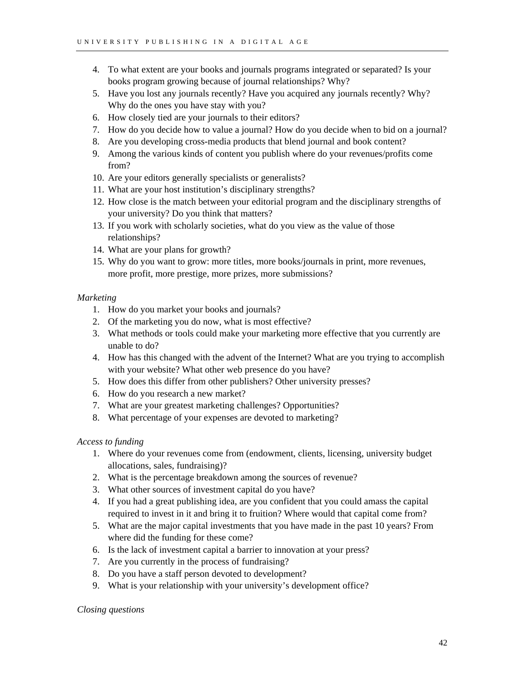- 4. To what extent are your books and journals programs integrated or separated? Is your books program growing because of journal relationships? Why?
- 5. Have you lost any journals recently? Have you acquired any journals recently? Why? Why do the ones you have stay with you?
- 6. How closely tied are your journals to their editors?
- 7. How do you decide how to value a journal? How do you decide when to bid on a journal?
- 8. Are you developing cross-media products that blend journal and book content?
- 9. Among the various kinds of content you publish where do your revenues/profits come from?
- 10. Are your editors generally specialists or generalists?
- 11. What are your host institution's disciplinary strengths?
- 12. How close is the match between your editorial program and the disciplinary strengths of your university? Do you think that matters?
- 13. If you work with scholarly societies, what do you view as the value of those relationships?
- 14. What are your plans for growth?
- 15. Why do you want to grow: more titles, more books/journals in print, more revenues, more profit, more prestige, more prizes, more submissions?

# *Marketing*

- 1. How do you market your books and journals?
- 2. Of the marketing you do now, what is most effective?
- 3. What methods or tools could make your marketing more effective that you currently are unable to do?
- 4. How has this changed with the advent of the Internet? What are you trying to accomplish with your website? What other web presence do you have?
- 5. How does this differ from other publishers? Other university presses?
- 6. How do you research a new market?
- 7. What are your greatest marketing challenges? Opportunities?
- 8. What percentage of your expenses are devoted to marketing?

# *Access to funding*

- 1. Where do your revenues come from (endowment, clients, licensing, university budget allocations, sales, fundraising)?
- 2. What is the percentage breakdown among the sources of revenue?
- 3. What other sources of investment capital do you have?
- 4. If you had a great publishing idea, are you confident that you could amass the capital required to invest in it and bring it to fruition? Where would that capital come from?
- 5. What are the major capital investments that you have made in the past 10 years? From where did the funding for these come?
- 6. Is the lack of investment capital a barrier to innovation at your press?
- 7. Are you currently in the process of fundraising?
- 8. Do you have a staff person devoted to development?
- 9. What is your relationship with your university's development office?

# *Closing questions*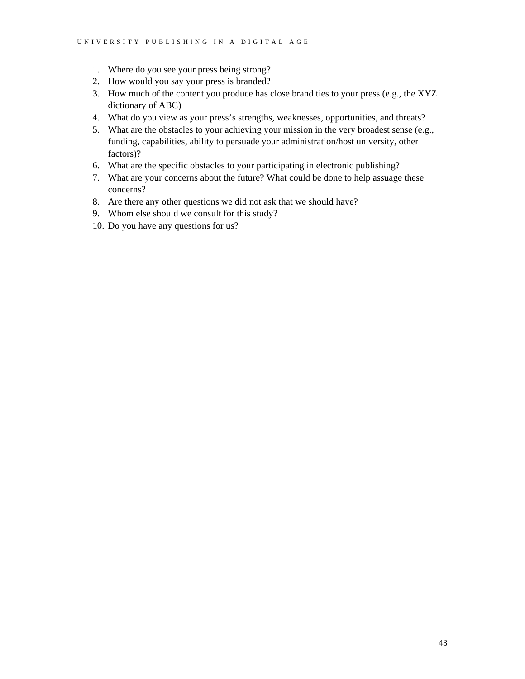- 1. Where do you see your press being strong?
- 2. How would you say your press is branded?
- 3. How much of the content you produce has close brand ties to your press (e.g., the XYZ dictionary of ABC)
- 4. What do you view as your press's strengths, weaknesses, opportunities, and threats?
- 5. What are the obstacles to your achieving your mission in the very broadest sense (e.g., funding, capabilities, ability to persuade your administration/host university, other factors)?
- 6. What are the specific obstacles to your participating in electronic publishing?
- 7. What are your concerns about the future? What could be done to help assuage these concerns?
- 8. Are there any other questions we did not ask that we should have?
- 9. Whom else should we consult for this study?
- 10. Do you have any questions for us?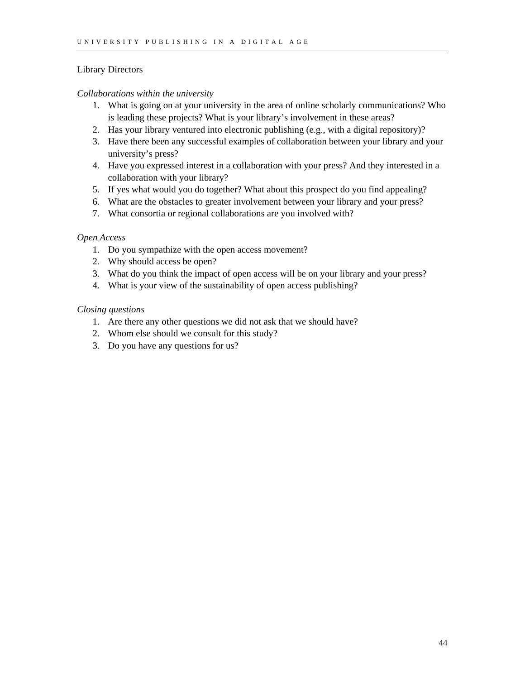# Library Directors

# *Collaborations within the university*

- 1. What is going on at your university in the area of online scholarly communications? Who is leading these projects? What is your library's involvement in these areas?
- 2. Has your library ventured into electronic publishing (e.g., with a digital repository)?
- 3. Have there been any successful examples of collaboration between your library and your university's press?
- 4. Have you expressed interest in a collaboration with your press? And they interested in a collaboration with your library?
- 5. If yes what would you do together? What about this prospect do you find appealing?
- 6. What are the obstacles to greater involvement between your library and your press?
- 7. What consortia or regional collaborations are you involved with?

# *Open Access*

- 1. Do you sympathize with the open access movement?
- 2. Why should access be open?
- 3. What do you think the impact of open access will be on your library and your press?
- 4. What is your view of the sustainability of open access publishing?

# *Closing questions*

- 1. Are there any other questions we did not ask that we should have?
- 2. Whom else should we consult for this study?
- 3. Do you have any questions for us?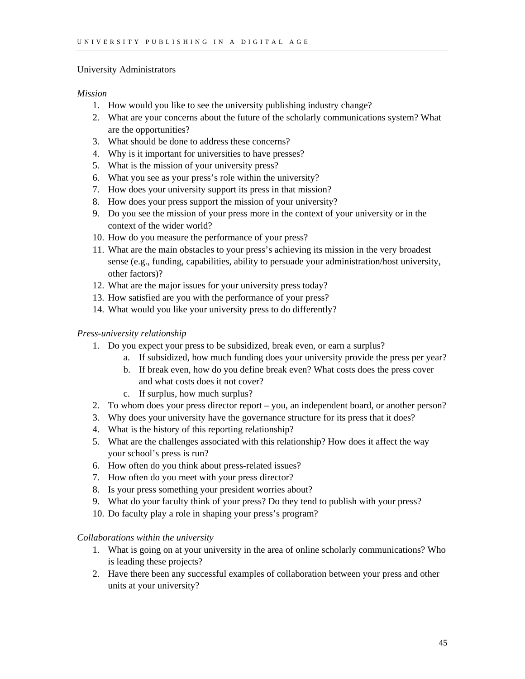### University Administrators

### *Mission*

- 1. How would you like to see the university publishing industry change?
- 2. What are your concerns about the future of the scholarly communications system? What are the opportunities?
- 3. What should be done to address these concerns?
- 4. Why is it important for universities to have presses?
- 5. What is the mission of your university press?
- 6. What you see as your press's role within the university?
- 7. How does your university support its press in that mission?
- 8. How does your press support the mission of your university?
- 9. Do you see the mission of your press more in the context of your university or in the context of the wider world?
- 10. How do you measure the performance of your press?
- 11. What are the main obstacles to your press's achieving its mission in the very broadest sense (e.g., funding, capabilities, ability to persuade your administration/host university, other factors)?
- 12. What are the major issues for your university press today?
- 13. How satisfied are you with the performance of your press?
- 14. What would you like your university press to do differently?

# *Press-university relationship*

- 1. Do you expect your press to be subsidized, break even, or earn a surplus?
	- a. If subsidized, how much funding does your university provide the press per year?
	- b. If break even, how do you define break even? What costs does the press cover and what costs does it not cover?
	- c. If surplus, how much surplus?
- 2. To whom does your press director report you, an independent board, or another person?
- 3. Why does your university have the governance structure for its press that it does?
- 4. What is the history of this reporting relationship?
- 5. What are the challenges associated with this relationship? How does it affect the way your school's press is run?
- 6. How often do you think about press-related issues?
- 7. How often do you meet with your press director?
- 8. Is your press something your president worries about?
- 9. What do your faculty think of your press? Do they tend to publish with your press?
- 10. Do faculty play a role in shaping your press's program?

### *Collaborations within the university*

- 1. What is going on at your university in the area of online scholarly communications? Who is leading these projects?
- 2. Have there been any successful examples of collaboration between your press and other units at your university?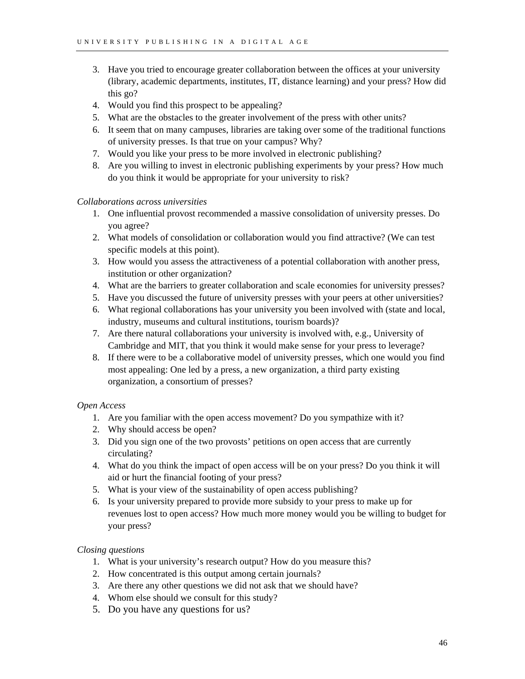- 3. Have you tried to encourage greater collaboration between the offices at your university (library, academic departments, institutes, IT, distance learning) and your press? How did this go?
- 4. Would you find this prospect to be appealing?
- 5. What are the obstacles to the greater involvement of the press with other units?
- 6. It seem that on many campuses, libraries are taking over some of the traditional functions of university presses. Is that true on your campus? Why?
- 7. Would you like your press to be more involved in electronic publishing?
- 8. Are you willing to invest in electronic publishing experiments by your press? How much do you think it would be appropriate for your university to risk?

#### *Collaborations across universities*

- 1. One influential provost recommended a massive consolidation of university presses. Do you agree?
- 2. What models of consolidation or collaboration would you find attractive? (We can test specific models at this point).
- 3. How would you assess the attractiveness of a potential collaboration with another press, institution or other organization?
- 4. What are the barriers to greater collaboration and scale economies for university presses?
- 5. Have you discussed the future of university presses with your peers at other universities?
- 6. What regional collaborations has your university you been involved with (state and local, industry, museums and cultural institutions, tourism boards)?
- 7. Are there natural collaborations your university is involved with, e.g., University of Cambridge and MIT, that you think it would make sense for your press to leverage?
- 8. If there were to be a collaborative model of university presses, which one would you find most appealing: One led by a press, a new organization, a third party existing organization, a consortium of presses?

### *Open Access*

- 1. Are you familiar with the open access movement? Do you sympathize with it?
- 2. Why should access be open?
- 3. Did you sign one of the two provosts' petitions on open access that are currently circulating?
- 4. What do you think the impact of open access will be on your press? Do you think it will aid or hurt the financial footing of your press?
- 5. What is your view of the sustainability of open access publishing?
- 6. Is your university prepared to provide more subsidy to your press to make up for revenues lost to open access? How much more money would you be willing to budget for your press?

### *Closing questions*

- 1. What is your university's research output? How do you measure this?
- 2. How concentrated is this output among certain journals?
- 3. Are there any other questions we did not ask that we should have?
- 4. Whom else should we consult for this study?
- 5. Do you have any questions for us?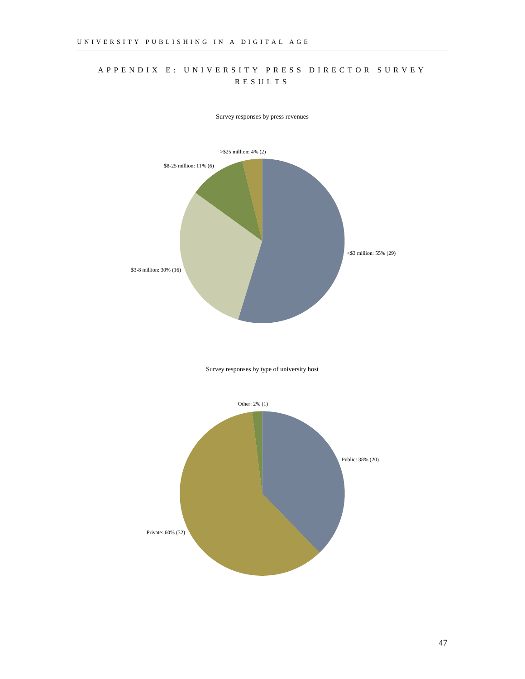# <span id="page-48-0"></span>APPENDIX E: UNIVERSITY PRESS DIRECTOR SURVEY RESULTS



Survey responses by press revenues

Survey responses by type of university host

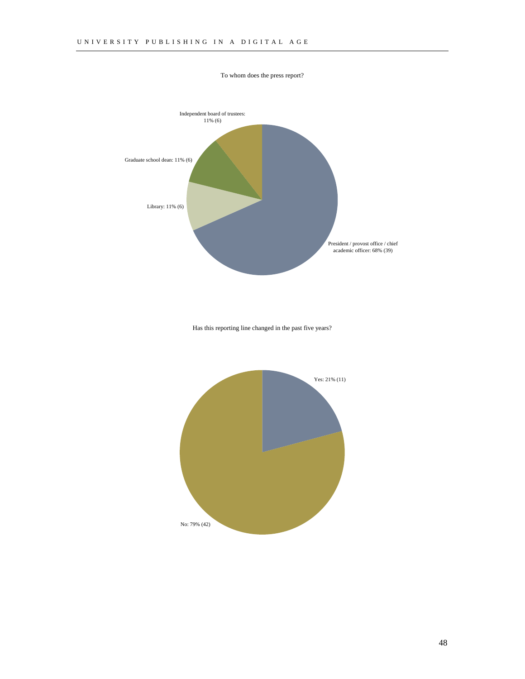

To whom does the press report?

Has this reporting line changed in the past five years?

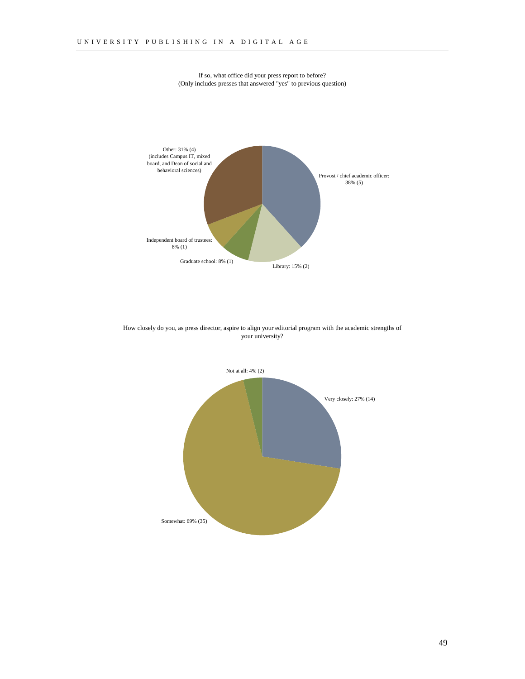

If so, what office did your press report to before? (Only includes presses that answered "yes" to previous question)

How closely do you, as press director, aspire to align your editorial program with the academic strengths of your university?

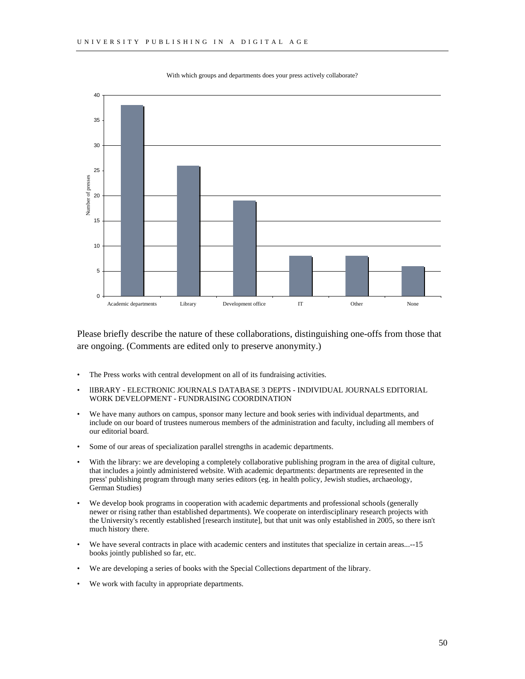

With which groups and departments does your press actively collaborate?

Please briefly describe the nature of these collaborations, distinguishing one-offs from those that are ongoing. (Comments are edited only to preserve anonymity.)

- The Press works with central development on all of its fundraising activities.
- lIBRARY ELECTRONIC JOURNALS DATABASE 3 DEPTS INDIVIDUAL JOURNALS EDITORIAL WORK DEVELOPMENT - FUNDRAISING COORDINATION
- We have many authors on campus, sponsor many lecture and book series with individual departments, and include on our board of trustees numerous members of the administration and faculty, including all members of our editorial board.
- Some of our areas of specialization parallel strengths in academic departments.
- With the library: we are developing a completely collaborative publishing program in the area of digital culture, that includes a jointly administered website. With academic departments: departments are represented in the press' publishing program through many series editors (eg. in health policy, Jewish studies, archaeology, German Studies)
- We develop book programs in cooperation with academic departments and professional schools (generally newer or rising rather than established departments). We cooperate on interdisciplinary research projects with the University's recently established [research institute], but that unit was only established in 2005, so there isn't much history there.
- We have several contracts in place with academic centers and institutes that specialize in certain areas...-15 books jointly published so far, etc.
- We are developing a series of books with the Special Collections department of the library.
- We work with faculty in appropriate departments.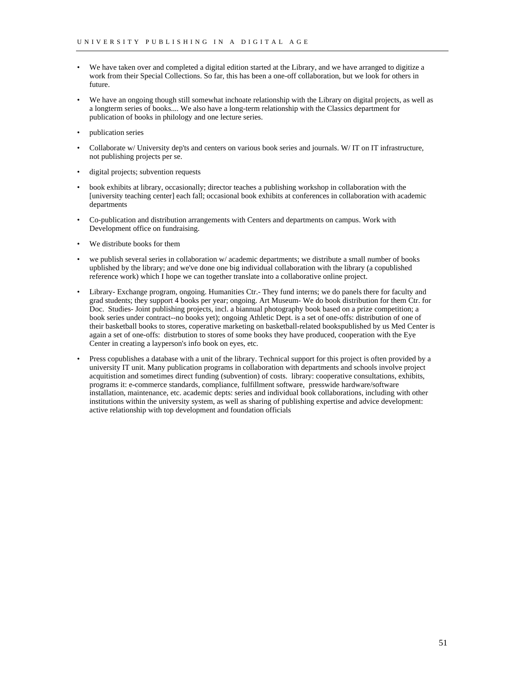- We have taken over and completed a digital edition started at the Library, and we have arranged to digitize a work from their Special Collections. So far, this has been a one-off collaboration, but we look for others in future.
- We have an ongoing though still somewhat inchoate relationship with the Library on digital projects, as well as a longterm series of books.... We also have a long-term relationship with the Classics department for publication of books in philology and one lecture series.
- publication series
- Collaborate w/ University dep'ts and centers on various book series and journals. W/ IT on IT infrastructure, not publishing projects per se.
- digital projects; subvention requests
- book exhibits at library, occasionally; director teaches a publishing workshop in collaboration with the [university teaching center] each fall; occasional book exhibits at conferences in collaboration with academic departments
- Co-publication and distribution arrangements with Centers and departments on campus. Work with Development office on fundraising.
- We distribute books for them
- we publish several series in collaboration w/ academic departments; we distribute a small number of books upblished by the library; and we've done one big individual collaboration with the library (a copublished reference work) which I hope we can together translate into a collaborative online project.
- Library- Exchange program, ongoing. Humanities Ctr.- They fund interns; we do panels there for faculty and grad students; they support 4 books per year; ongoing. Art Museum- We do book distribution for them Ctr. for Doc. Studies- Joint publishing projects, incl. a biannual photography book based on a prize competition; a book series under contract--no books yet); ongoing Athletic Dept. is a set of one-offs: distribution of one of their basketball books to stores, coperative marketing on basketball-related bookspublished by us Med Center is again a set of one-offs: distrbution to stores of some books they have produced, cooperation with the Eye Center in creating a layperson's info book on eyes, etc.
- Press copublishes a database with a unit of the library. Technical support for this project is often provided by a university IT unit. Many publication programs in collaboration with departments and schools involve project acquitistion and sometimes direct funding (subvention) of costs. library: cooperative consultations, exhibits, programs it: e-commerce standards, compliance, fulfillment software, presswide hardware/software installation, maintenance, etc. academic depts: series and individual book collaborations, including with other institutions within the university system, as well as sharing of publishing expertise and advice development: active relationship with top development and foundation officials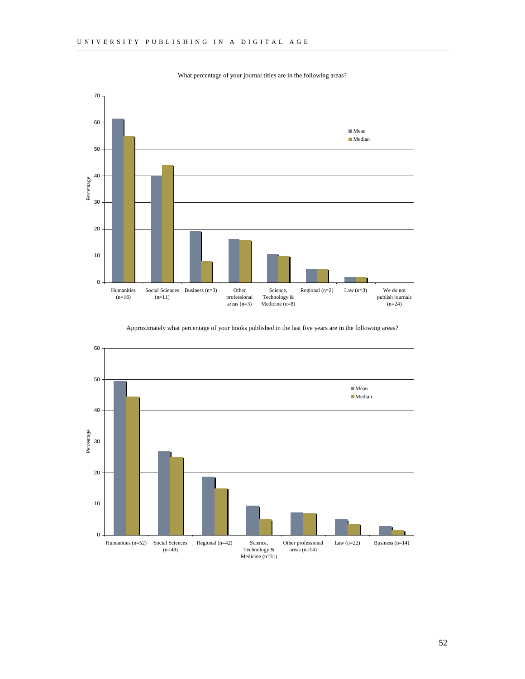What percentage of your journal titles are in the following areas?



Approximately what percentage of your books published in the last five years are in the following areas?



52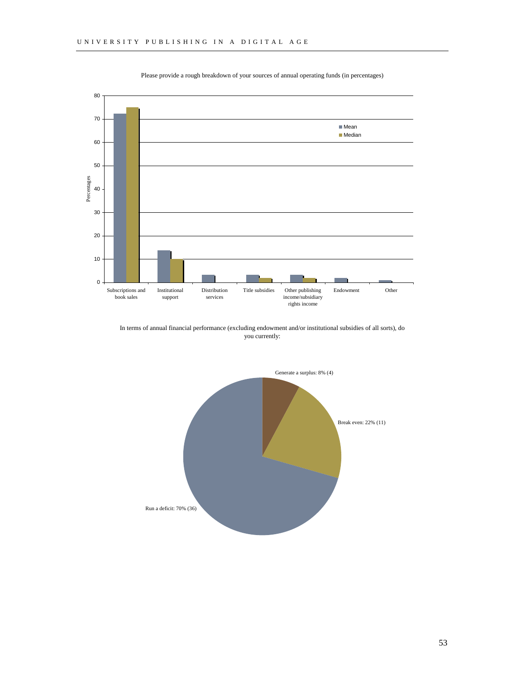

Please provide a rough breakdown of your sources of annual operating funds (in percentages)

In terms of annual financial performance (excluding endowment and/or institutional subsidies of all sorts), do you currently:

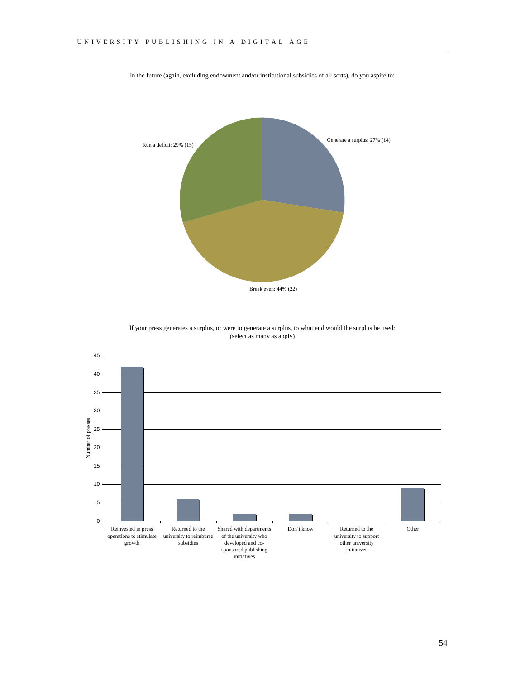

In the future (again, excluding endowment and/or institutional subsidies of all sorts), do you aspire to:

If your press generates a surplus, or were to generate a surplus, to what end would the surplus be used: (select as many as apply)

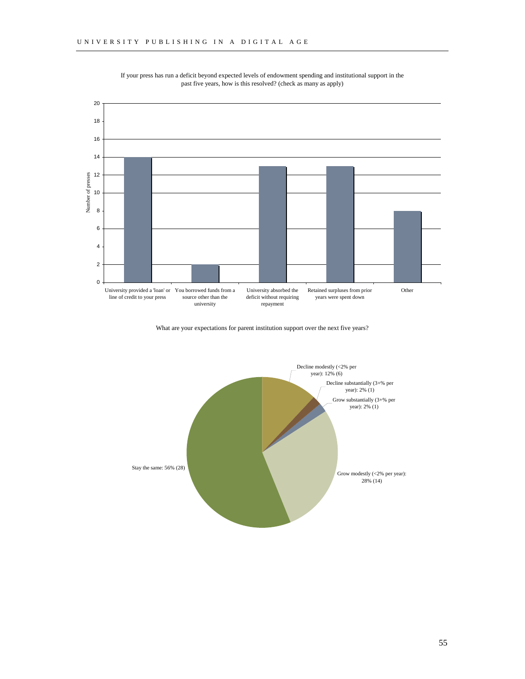

If your press has run a deficit beyond expected levels of endowment spending and institutional support in the past five years, how is this resolved? (check as many as apply)

What are your expectations for parent institution support over the next five years?

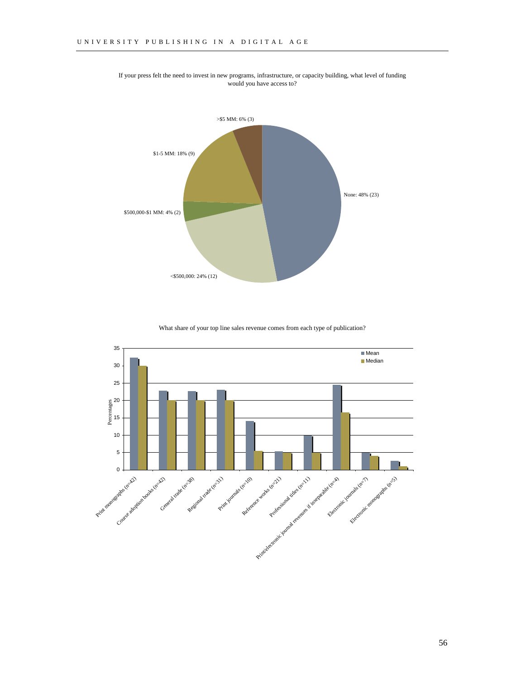

If your press felt the need to invest in new programs, infrastructure, or capacity building, what level of funding would you have access to?

What share of your top line sales revenue comes from each type of publication?

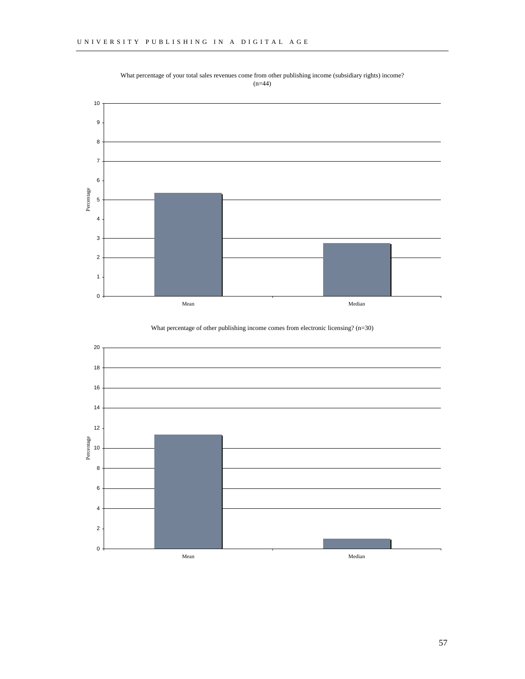

What percentage of your total sales revenues come from other publishing income (subsidiary rights) income? (n=44)

What percentage of other publishing income comes from electronic licensing? (n=30)

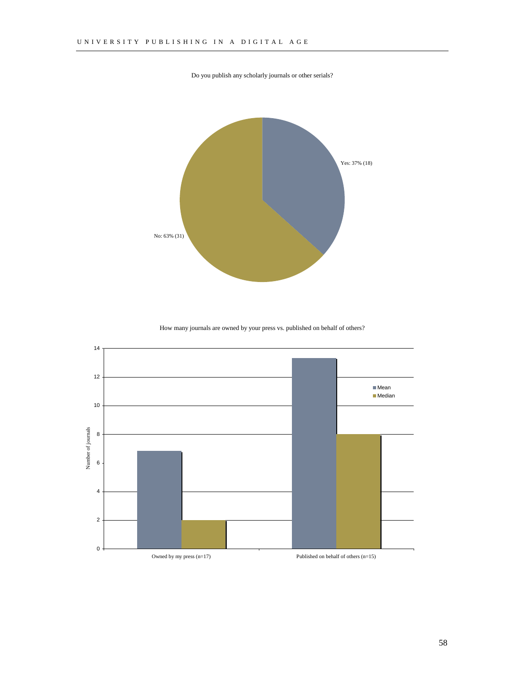Do you publish any scholarly journals or other serials?



How many journals are owned by your press vs. published on behalf of others?

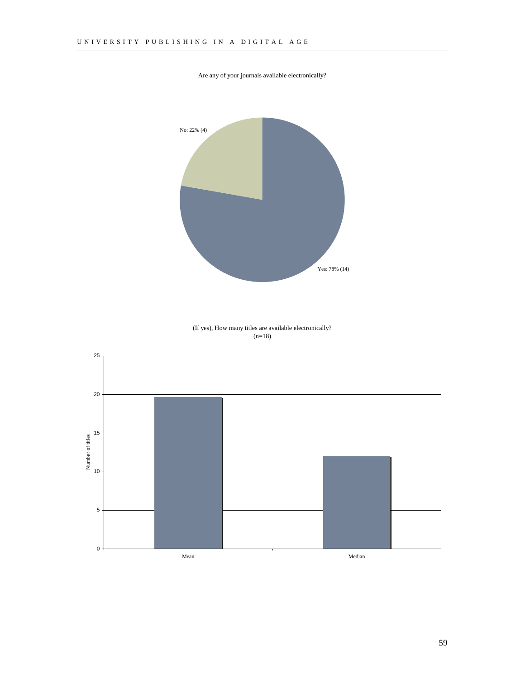

Are any of your journals available electronically?

(If yes), How many titles are available electronically?  $(n=18)$ 

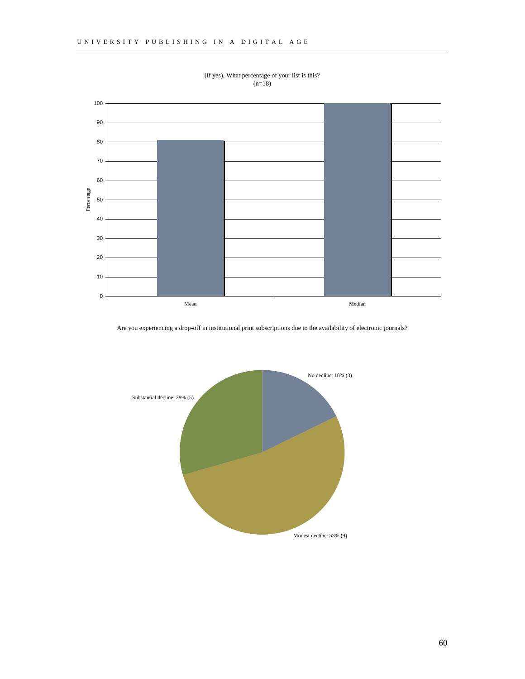

(If yes), What percentage of your list is this?  $(n=18)$ 

Are you experiencing a drop-off in institutional print subscriptions due to the availability of electronic journals?

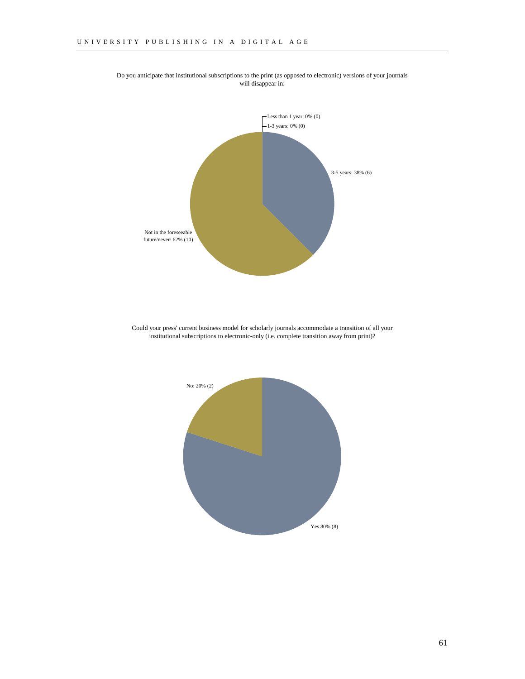

Do you anticipate that institutional subscriptions to the print (as opposed to electronic) versions of your journals will disappear in:

Could your press' current business model for scholarly journals accommodate a transition of all your institutional subscriptions to electronic-only (i.e. complete transition away from print)?

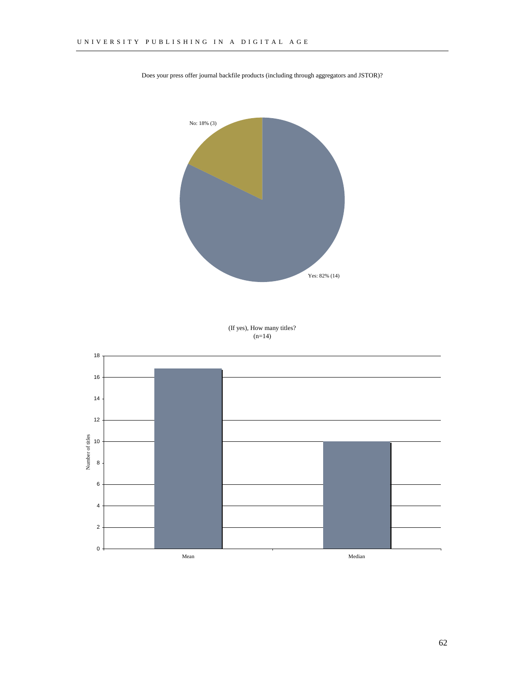

Does your press offer journal backfile products (including through aggregators and JSTOR)?

(If yes), How many titles?  $(n=14)$ 

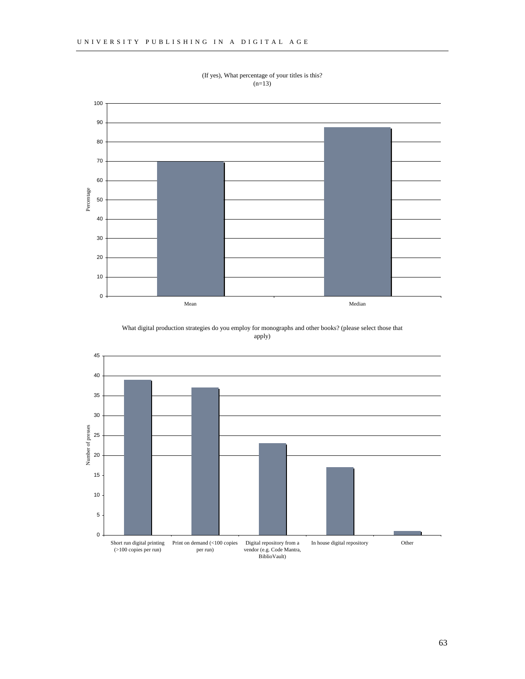

(If yes), What percentage of your titles is this?  $(n=13)$ 

What digital production strategies do you employ for monographs and other books? (please select those that apply)

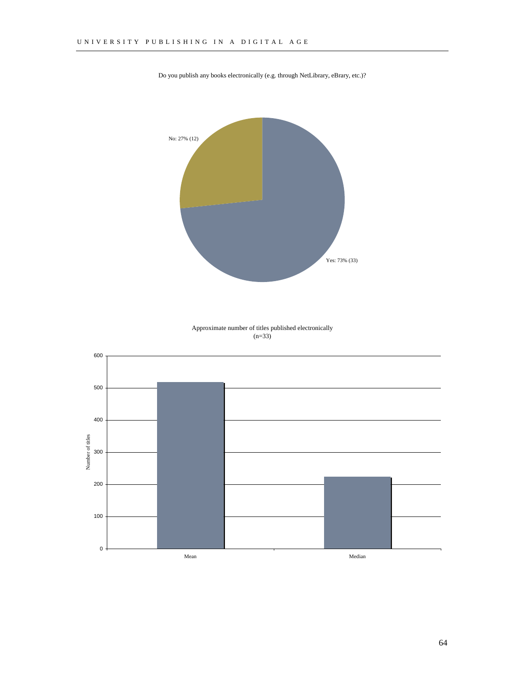

Do you publish any books electronically (e.g. through NetLibrary, eBrary, etc.)?

Approximate number of titles published electronically  $(n=33)$ 

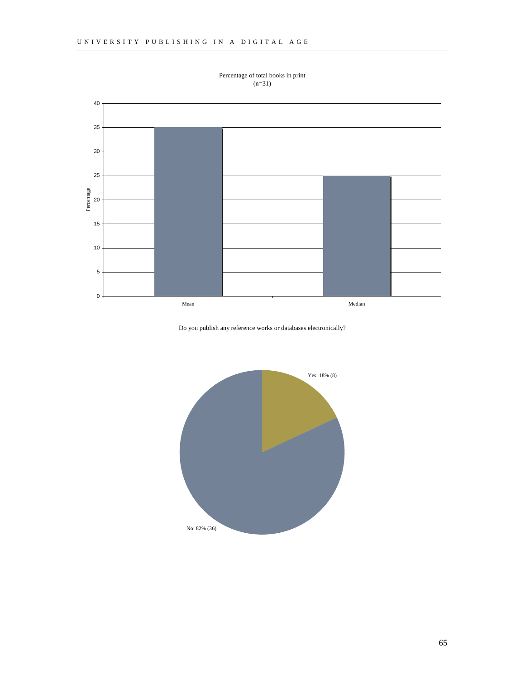

Percentage of total books in print  $(n=31)$ 

Do you publish any reference works or databases electronically?

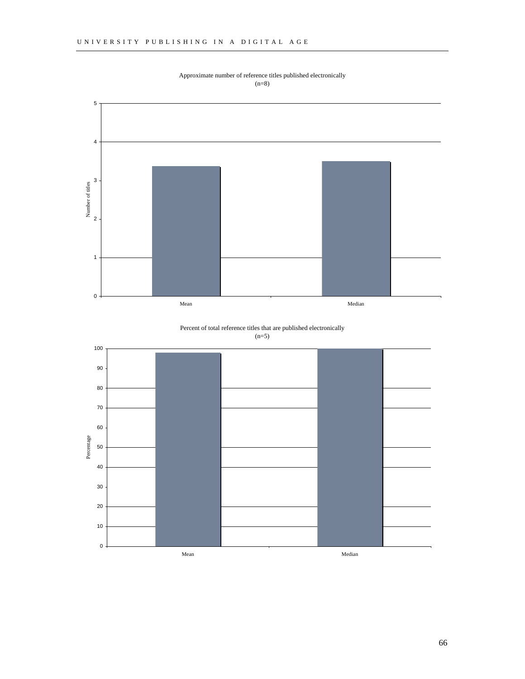

Approximate number of reference titles published electronically (n=8)

Percent of total reference titles that are published electronically  $(n=5)$